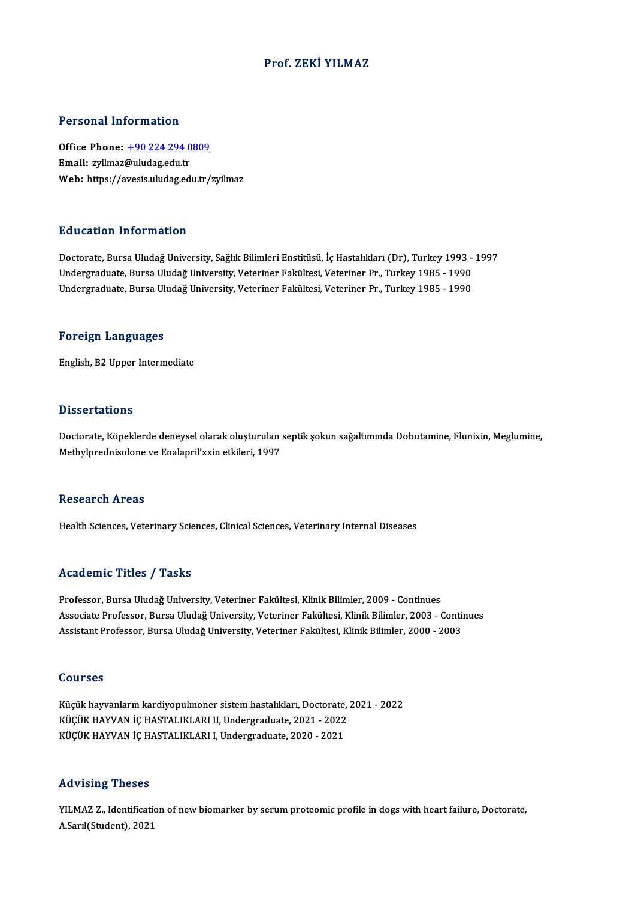### Prof. ZEKİ YILMAZ

#### Personal Information

Personal Information<br>Office Phone: <u>+90 224 294 0809</u><br>Email: wilmar@uludas.edu.tr 1 STSSMATHISTMARISH<br>Office Phone: <u>+90 224 294 0</u><br>Email: zyilmaz[@uludag.edu.tr](tel:+90 224 294 0809) Email: zyilmaz@uludag.edu.tr<br>Web: https://avesis.uludag.edu.tr/zyilmaz

#### Education Information

Doctorate, Bursa Uludağ University, Sağlık Bilimleri Enstitüsü, İç Hastalıkları (Dr), Turkey 1993 - 1997 undergraduate, Bursa Uludağ University, Sağlık Bilimleri Enstitüsü, İç Hastalıkları (Dr), Turkey 1993 -<br>Undergraduate, Bursa Uludağ University, Veteriner Fakültesi, Veteriner Pr., Turkey 1985 - 1990<br>Undergraduate, Bursa Ul Doctorate, Bursa Uludağ University, Sağlık Bilimleri Enstitüsü, İç Hastalıkları (Dr), Turkey 1993 -<br>Undergraduate, Bursa Uludağ University, Veteriner Fakültesi, Veteriner Pr., Turkey 1985 - 1990<br>Undergraduate, Bursa Uludağ Undergraduate, Bursa Uludağ University, Veteriner Fakültesi, Veteriner Pr., Turkey 1985 - 1990<br>Foreign Languages

English,B2Upper Intermediate

#### **Dissertations**

Dissertations<br>Doctorate, Köpeklerde deneysel olarak oluşturulan septik şokun sağaltımında Dobutamine, Flunixin, Meglumine,<br>Methylpredniselene ve Enelanril'yyin etkileri, 1997 2 1999 tatrome<br>Doctorate, Köpeklerde deneysel olarak oluşturulan<br>Methylprednisolone ve Enalapril'xxin etkileri, 1997 Methylprednisolone ve Enalapril'xxin etkileri, 1997<br>Research Areas

Health Sciences, Veterinary Sciences, Clinical Sciences, Veterinary Internal Diseases

### Academic Titles / Tasks

Professor, Bursa Uludağ University, Veteriner Fakültesi, Klinik Bilimler, 2009 - Continues Associate Articus / Austra<br>Professor, Bursa Uludağ University, Veteriner Fakültesi, Klinik Bilimler, 2009 - Continues<br>Associate Professor, Bursa Uludağ University, Veteriner Fakültesi, Klinik Bilimler, 2003 - Continues<br>Ass Professor, Bursa Uludağ University, Veteriner Fakültesi, Klinik Bilimler, 2009 - Continues<br>Associate Professor, Bursa Uludağ University, Veteriner Fakültesi, Klinik Bilimler, 2003 - Conti<br>Assistant Professor, Bursa Uludağ Assistant Professor, Bursa Uludağ University, Veteriner Fakültesi, Klinik Bilimler, 2000 - 2003<br>Courses

Küçük hayvanların kardiyopulmoner sistem hastalıkları, Doctorate, 2021 - 2022 SSAT*BSS*<br>Küçük hayvanların kardiyopulmoner sistem hastalıkları, Doctorate,<br>KÜÇÜK HAYVAN İÇ HASTALIKLARI II, Undergraduate, 2021 - 2022<br>KÜÇÜK HAYVAN İÇ HASTALIKLARLI Undergraduate, 2020, 2021 Küçük hayvanların kardiyopulmoner sistem hastalıkları, Doctorate,<br>KÜÇÜK HAYVAN İÇ HASTALIKLARI II, Undergraduate, 2021 - 2022<br>KÜÇÜK HAYVAN İÇ HASTALIKLARI I, Undergraduate, 2020 - 2021 KÜÇÜK HAYVAN İÇ HASTALIKLARI I, Undergraduate, 2020 - 2021<br>Advising Theses

Advising Theses<br>YILMAZ Z., Identification of new biomarker by serum proteomic profile in dogs with heart failure, Doctorate,<br>A Sarl(Student), 2021 11d v 1511g - 110505<br>YILMAZ Z., Identificati<br>A.Sarıl(Student), 2021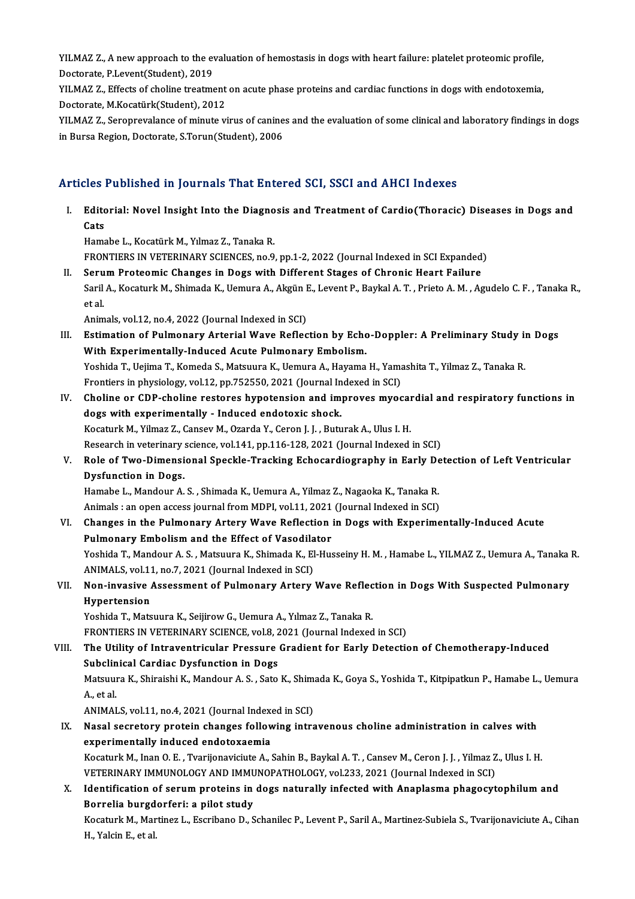YILMAZ Z., A new approach to the evaluation of hemostasis in dogs with heart failure: platelet proteomic profile,<br>Pestarate BJ svent(Student), 2019 YILMAZ Z., A new approach to the ev<br>Doctorate, P.Levent(Student), 2019<br>VILMAZ Z., Effects of shaline treatme YILMAZ Z., A new approach to the evaluation of hemostasis in dogs with heart failure: platelet proteomic profile,<br>Doctorate, P.Levent(Student), 2019<br>YILMAZ Z., Effects of choline treatment on acute phase proteins and cardi

Doctorate, P.Levent(Student), 2019<br>YILMAZ Z., Effects of choline treatment on acute phase proteins and cardiac functions in dogs with endotoxemia,<br>Doctorate, M.Kocatürk(Student), 2012 YILMAZ Z., Effects of choline treatment on acute phase proteins and cardiac functions in dogs with endotoxemia,<br>Doctorate, M.Kocatürk(Student), 2012<br>YILMAZ Z., Seroprevalance of minute virus of canines and the evaluation o

Doctorate, M.Kocatürk(Student), 2012<br>YILMAZ Z., Seroprevalance of minute virus of canine<br>in Bursa Region, Doctorate, S.Torun(Student), 2006

# in Bursa Region, Doctorate, S.Torun(Student), 2006<br>Articles Published in Journals That Entered SCI, SSCI and AHCI Indexes

rticles Published in Journals That Entered SCI, SSCI and AHCI Indexes<br>I. Editorial: Novel Insight Into the Diagnosis and Treatment of Cardio(Thoracic) Diseases in Dogs and<br>Cats nes<br>Edito<br>Cats<br><sup>Hame</sup> Editorial: Novel Insight Into the Diagno<br>Cats<br>Hamabe L., Kocatürk M., Yılmaz Z., Tanaka R.<br>EPONTIEDS IN VETERINARY SCIENCES, no 9 Cats<br>Hamabe L., Kocatürk M., Yılmaz Z., Tanaka R.<br>FRONTIERS IN VETERINARY SCIENCES, no.9, pp.1-2, 2022 (Journal Indexed in SCI Expanded) Hamabe L., Kocatürk M., Yılmaz Z., Tanaka R.<br>FRONTIERS IN VETERINARY SCIENCES, no.9, pp.1-2, 2022 (Journal Indexed in SCI Expanded)<br>II. Serum Proteomic Changes in Dogs with Different Stages of Chronic Heart Failure<br>Saril A Saril A., Kocaturk M., Shimada K., Uemura A., Akgün E., Levent P., Baykal A. T. , Prieto A. M. , Agudelo C. F. , Tanaka R.,<br>et al. Seru<br>Saril<br>et al. Animals, vol.12, no.4, 2022 (Journal Indexed in SCI) et al.<br>Animals, vol.12, no.4, 2022 (Journal Indexed in SCI)<br>III. Estimation of Pulmonary Arterial Wave Reflection by Echo-Doppler: A Preliminary Study in Dogs<br>With Eunerimentally Indused Asute Bulmonary Embeliam Animals, vol.12, no.4, 2022 (Journal Indexed in SCI)<br>Estimation of Pulmonary Arterial Wave Reflection by Echo<br>With Experimentally-Induced Acute Pulmonary Embolism.<br>Yoshida T. Heijma T. Komeda S. Matsuura K. Hemura A. Heyam Estimation of Pulmonary Arterial Wave Reflection by Echo-Doppler: A Preliminary Study in<br>With Experimentally-Induced Acute Pulmonary Embolism.<br>Yoshida T., Uejima T., Komeda S., Matsuura K., Uemura A., Hayama H., Yamashita With Experimentally-Induced Acute Pulmonary Embolism.<br>Yoshida T., Uejima T., Komeda S., Matsuura K., Uemura A., Hayama H., Yama<br>Frontiers in physiology, vol.12, pp.752550, 2021 (Journal Indexed in SCI)<br>Chaline or CDB shali Yoshida T., Uejima T., Komeda S., Matsuura K., Uemura A., Hayama H., Yamashita T., Yilmaz Z., Tanaka R.<br>Frontiers in physiology, vol.12, pp.752550, 2021 (Journal Indexed in SCI)<br>IV. Choline or CDP-choline restores hypotens Frontiers in physiology, vol.12, pp.752550, 2021 (Journal In<br>Choline or CDP-choline restores hypotension and im<br>dogs with experimentally - Induced endotoxic shock.<br>Kosaturk M. Vilmar 7, Cansov M. Orarda V. Canon L. Butu Choline or CDP-choline restores hypotension and improves myocal<br>dogs with experimentally - Induced endotoxic shock.<br>Kocaturk M., Yilmaz Z., Cansev M., Ozarda Y., Ceron J. J. , Buturak A., Ulus I. H.<br>Besearsh in veterinary dogs with experimentally - Induced endotoxic shock.<br>Kocaturk M., Yilmaz Z., Cansev M., Ozarda Y., Ceron J. J. , Buturak A., Ulus I. H.<br>Research in veterinary science, vol.141, pp.116-128, 2021 (Journal Indexed in SCI) Kocaturk M., Yilmaz Z., Cansev M., Ozarda Y., Ceron J. J. , Buturak A., Ulus I. H.<br>Research in veterinary science, vol.141, pp.116-128, 2021 (Journal Indexed in SCI)<br>V. Role of Two-Dimensional Speckle-Tracking Echocardiogr Research in veterinary<br>Role of Two-Dimensi<br>Dysfunction in Dogs.<br>Hamaba I. Mandour A Role of Two-Dimensional Speckle-Tracking Echocardiography in Early De<br>Dysfunction in Dogs.<br>Hamabe L., Mandour A. S. , Shimada K., Uemura A., Yilmaz Z., Nagaoka K., Tanaka R.<br>Animala : en enen aggess journal from MDBL vol 1 Dysfunction in Dogs.<br>Hamabe L., Mandour A. S. , Shimada K., Uemura A., Yilmaz Z., Nagaoka K., Tanaka R.<br>Animals : an open access journal from MDPI, vol.11, 2021 (Journal Indexed in SCI)<br>Shanges in the Pulmonary, Artory Woy Hamabe L., Mandour A. S. , Shimada K., Uemura A., Yilmaz Z., Nagaoka K., Tanaka R.<br>Animals : an open access journal from MDPI, vol.11, 2021 (Journal Indexed in SCI)<br>VI. Changes in the Pulmonary Artery Wave Reflection in Do Animals : an open access journal from MDPI, vol.11, 2021<br>Changes in the Pulmonary Artery Wave Reflection<br>Pulmonary Embolism and the Effect of Vasodilator<br>Veshida T. Mandour A. S., Matauune K., Shimada K., El Hue Changes in the Pulmonary Artery Wave Reflection in Dogs with Experimentally-Induced Acute<br>Pulmonary Embolism and the Effect of Vasodilator<br>Yoshida T., Mandour A. S. , Matsuura K., Shimada K., El-Husseiny H. M. , Hamabe L., Pulmonary Embolism and the Effect of Vasodila<br>Yoshida T., Mandour A. S. , Matsuura K., Shimada K., El<br>ANIMALS, vol.11, no.7, 2021 (Journal Indexed in SCI)<br>Non-invesive Assessment of Bulmonary Artory Yoshida T., Mandour A. S. , Matsuura K., Shimada K., El-Husseiny H. M. , Hamabe L., YILMAZ Z., Uemura A., Tanaka<br>ANIMALS, vol.11, no.7, 2021 (Journal Indexed in SCI)<br>VII. Non-invasive Assessment of Pulmonary Artery Wav ANIMALS, vol.11<br>Non-invasive<br>Hypertension<br><sup>Vochido T.</sup> Mate Non-invasive Assessment of Pulmonary Artery Wave Reflec<br>Hypertension<br>Yoshida T., Matsuura K., Seijirow G., Uemura A., Yılmaz Z., Tanaka R.<br>EPONTIERS IN VETERINARY SCIENCE, vol.9, 2021 (Journal Indoved Hypertension<br>Yoshida T., Matsuura K., Seijirow G., Uemura A., Yılmaz Z., Tanaka R.<br>FRONTIERS IN VETERINARY SCIENCE, vol.8, 2021 (Journal Indexed in SCI) Yoshida T., Matsuura K., Seijirow G., Uemura A., Yılmaz Z., Tanaka R.<br>FRONTIERS IN VETERINARY SCIENCE, vol.8, 2021 (Journal Indexed in SCI)<br>VIII. The Utility of Intraventricular Pressure Gradient for Early Detection of FRONTIERS IN VETERINARY SCIENCE, vol.8, 2<br>The Utility of Intraventricular Pressure<br>Subclinical Cardiac Dysfunction in Dogs<br>Matauura K. Shinaishi K. Mandour A. S. Sate The Utility of Intraventricular Pressure Gradient for Early Detection of Chemotherapy-Induced<br>Subclinical Cardiac Dysfunction in Dogs<br>Matsuura K., Shiraishi K., Mandour A. S. , Sato K., Shimada K., Goya S., Yoshida T., Kit Subcli<mark>n</mark><br>Matsuul<br>A., et al.<br>ANIMAL Matsuura K., Shiraishi K., Mandour A. S. , Sato K., Shima<br>A., et al.<br>ANIMALS, vol.11, no.4, 2021 (Journal Indexed in SCI)<br>Nasal segratory protein shanges following intre A., et al.<br>ANIMALS, vol.11, no.4, 2021 (Journal Indexed in SCI)<br>IX. Nasal secretory protein changes following intravenous choline administration in calves with<br>experimentally indused endetaysemia ANIMALS, vol.11, no.4, 2021 (Journal Index)<br>Nasal secretory protein changes follow<br>experimentally induced endotoxaemia<br>Kessturk M. Inan O. E., Tyorijonavisiute A. ( Nasal secretory protein changes following intravenous choline administration in calves with<br>experimentally induced endotoxaemia<br>Kocaturk M., Inan O. E. , Tvarijonaviciute A., Sahin B., Baykal A. T. , Cansev M., Ceron J. J. experimentally induced endotoxaemia<br>Kocaturk M., Inan O. E. , Tvarijonaviciute A., Sahin B., Baykal A. T. , Cansev M., Ceron J. J. , Yilmaz Z., Ulus I. H.<br>VETERINARY IMMUNOLOGY AND IMMUNOPATHOLOGY, vol.233, 2021 (Journal I Kocaturk M., Inan O. E. , Tvarijonaviciute A., Sahin B., Baykal A. T. , Cansev M., Ceron J. J. , Yilmaz Z., Ulus I. H.<br>VETERINARY IMMUNOLOGY AND IMMUNOPATHOLOGY, vol.233, 2021 (Journal Indexed in SCI)<br>X. Identification of VETERINARY IMMUNOLOGY AND IMMU<br>Identification of serum proteins in<br>Borrelia burgdorferi: a pilot study<br>Kessturk M. Mertiner L. Escribane D. S Kocaturk M., Martinez L., Escribano D., Schanilec P., Levent P., Saril A., Martinez-Subiela S., Tvarijonaviciute A., Cihan<br>H., Yalcin E., et al. Borrelia burgdorferi: a pilot study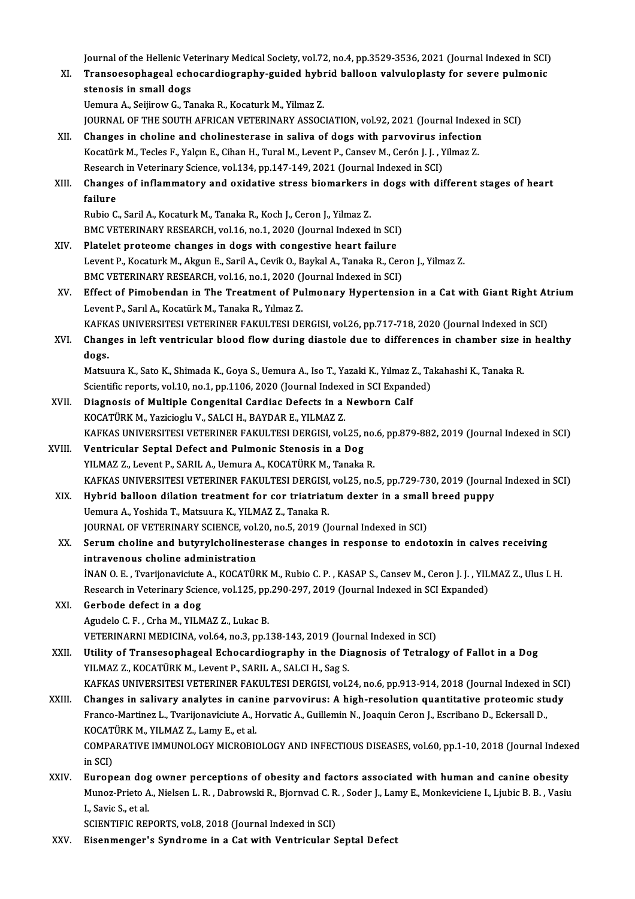Journal of the Hellenic Veterinary Medical Society, vol.72, no.4, pp.3529-3536, 2021 (Journal Indexed in SCI)<br>Transeccentbageal schosardiography, guided bybrid belleen velyvlaplesty for severe pulmenie

- Journal of the Hellenic Veterinary Medical Society, vol.72, no.4, pp.3529-3536, 2021 (Journal Indexed in SCI)<br>XI. Transoesophageal echocardiography-guided hybrid balloon valvuloplasty for severe pulmonic Journal of the Hellenic Ve<br>Transoesophageal ech<br>stenosis in small dogs<br>Hamure A. Seijinew C. To XI. Transoesophageal echocardiography-guided hybrid balloon valvuloplasty for severe pulmonic<br>stenosis in small dogs<br>Uemura A., Seijirow G., Tanaka R., Kocaturk M., Yilmaz Z.
	-

JOURNAL OF THE SOUTH AFRICAN VETERINARY ASSOCIATION, vol.92, 2021 (Journal Indexed in SCI)

- XII. Changes in choline and cholinesterase in saliva of dogs with parvovirus infection JOURNAL OF THE SOUTH AFRICAN VETERINARY ASSOCIATION, vol.92, 2021 (Journal Index<br>Changes in choline and cholinesterase in saliva of dogs with parvovirus infection<br>Kocatürk M., Tecles F., Yalçın E., Cihan H., Tural M., Leve Changes in choline and cholinesterase in saliva of dogs with parvovirus in<br>Kocatürk M., Tecles F., Yalçın E., Cihan H., Tural M., Levent P., Cansev M., Cerón J. J. , Y<br>Research in Veterinary Science, vol.134, pp.147-149, 2 Research in Veterinary Science, vol.134, pp.147-149, 2021 (Journal Indexed in SCI)
- XIII. Changes of inflammatory and oxidative stress biomarkers in dogs with different stages of heart failure

Rubio C., Saril A., Kocaturk M., Tanaka R., Koch J., Ceron J., Yilmaz Z. BMC VETERINARY RESEARCH, vol.16, no.1, 2020 (Journal Indexed in SCI)

- XIV. Platelet proteome changes in dogs with congestive heart failure BMC VETERINARY RESEARCH, vol.16, no.1, 2020 (Journal Indexed in SCI)<br>Platelet proteome changes in dogs with congestive heart failure<br>Levent P., Kocaturk M., Akgun E., Saril A., Cevik O., Baykal A., Tanaka R., Ceron J., Yil Platelet proteome changes in dogs with congestive heart failure<br>Levent P., Kocaturk M., Akgun E., Saril A., Cevik O., Baykal A., Tanaka R., Cer<br>BMC VETERINARY RESEARCH, vol.16, no.1, 2020 (Journal Indexed in SCI)<br>Effect of Levent P., Kocaturk M., Akgun E., Saril A., Cevik O., Baykal A., Tanaka R., Ceron J., Yilmaz Z.<br>BMC VETERINARY RESEARCH, vol.16, no.1, 2020 (Journal Indexed in SCI)<br>XV. Effect of Pimobendan in The Treatment of Pulmonary Hy
- BMC VETERINARY RESEARCH, vol.16, no.1, 2020 (Journal Indexed in SCI)<br>Effect of Pimobendan in The Treatment of Pulmonary Hypertension in a Cat with Giant Right At<br>Levent P., Sarıl A., Kocatürk M., Tanaka R., Yılmaz Z.<br>KAFKA Effect of Pimobendan in The Treatment of Pulmonary Hypertension in a Cat with Giant Right At<br>Levent P., Sarıl A., Kocatürk M., Tanaka R., Yılmaz Z.<br>KAFKAS UNIVERSITESI VETERINER FAKULTESI DERGISI, vol.26, pp.717-718, 2020 Levent P., Sarıl A., Kocatürk M., Tanaka R., Yılmaz Z.<br>KAFKAS UNIVERSITESI VETERINER FAKULTESI DERGISI, vol.26, pp.717-718, 2020 (Journal Indexed in SCI)<br>XVI. Changes in left ventricular blood flow during diastole due
- KAFK<br>Chang<br>dogs.<br>Matau Changes in left ventricular blood flow during diastole due to differences in chamber size i<br>dogs.<br>Matsuura K., Sato K., Shimada K., Goya S., Uemura A., Iso T., Yazaki K., Yılmaz Z., Takahashi K., Tanaka R.<br>Scientific reper

dogs.<br>Matsuura K., Sato K., Shimada K., Goya S., Uemura A., Iso T., Yazaki K., Yılmaz Z., Takahashi K., Tanaka R.<br>Scientific reports, vol.10, no.1, pp.1106, 2020 (Journal Indexed in SCI Expanded) Matsuura K., Sato K., Shimada K., Goya S., Uemura A., Iso T., Yazaki K., Yılmaz 2<br>Scientific reports, vol.10, no.1, pp.1106, 2020 (Journal Indexed in SCI Expand<br>XVII. Diagnosis of Multiple Congenital Cardiac Defects in a N

- Scientific reports, vol.10, no.1, pp.1106, 2020 (Journal Indexe<br>Diagnosis of Multiple Congenital Cardiac Defects in a<br>KOCATÜRK M., Yazicioglu V., SALCI H., BAYDAR E., YILMAZ Z.<br>KAEKAS UNIVERSITESI VETERINER FAKULTESI DERCI Diagnosis of Multiple Congenital Cardiac Defects in a Newborn Calf<br>KOCATÜRK M., Yazicioglu V., SALCI H., BAYDAR E., YILMAZ Z.<br>KAFKAS UNIVERSITESI VETERINER FAKULTESI DERGISI, vol.25, no.6, pp.879-882, 2019 (Journal Indexed KOCATÜRK M., Yazicioglu V., SALCI H., BAYDAR E., YILMAZ Z.<br>KAFKAS UNIVERSITESI VETERINER FAKULTESI DERGISI, vol.25, r<br>XVIII. Ventricular Septal Defect and Pulmonic Stenosis in a Dog<br>XVII. VILMAZ Z. Lovent B. SABIL
- KAFKAS UNIVERSITESI VETERINER FAKULTESI DERGISI, vol.25, no.<br>Ventricular Septal Defect and Pulmonic Stenosis in a Dog<br>YILMAZ Z., Levent P., SARIL A., Uemura A., KOCATÜRK M., Tanaka R.<br>KAEKAS UNIVERSITESI VETERINER FAKULTES Ventricular Septal Defect and Pulmonic Stenosis in a Dog<br>YILMAZ Z., Levent P., SARIL A., Uemura A., KOCATÜRK M., Tanaka R.<br>KAFKAS UNIVERSITESI VETERINER FAKULTESI DERGISI, vol.25, no.5, pp.729-730, 2019 (Journal Indexed in YILMAZ Z., Levent P., SARIL A., Uemura A., KOCATÜRK M., Tanaka R.<br>KAFKAS UNIVERSITESI VETERINER FAKULTESI DERGISI, vol.25, no.5, pp.729-730, 2019 (Journa<br>XIX. Hybrid balloon dilation treatment for cor triatriatum dexter in
- KAFKAS UNIVERSITESI VETERINER FAKULTESI DERGISI,<br><mark>Hybrid balloon dilation treatment for cor triatriat</mark><br>Uemura A., Yoshida T., Matsuura K., YILMAZ Z., Tanaka R.<br>JOUPNAL OF VETERINARY SCIENCE .val 20, no 5, 2010 (J. Hybrid balloon dilation treatment for cor triatriatum dexter in a small<br>Uemura A., Yoshida T., Matsuura K., YILMAZ Z., Tanaka R.<br>JOURNAL OF VETERINARY SCIENCE, vol.20, no.5, 2019 (Journal Indexed in SCI)<br>Serum shaline and Uemura A., Yoshida T., Matsuura K., YILMAZ Z., Tanaka R.<br>JOURNAL OF VETERINARY SCIENCE, vol.20, no.5, 2019 (Journal Indexed in SCI)<br>XX. Serum choline and butyrylcholinesterase changes in response to endotoxin in calves rec
- JOURNAL OF VETERINARY SCIENCE, vol.<br>Serum choline and butyrylcholinest<br>intravenous choline administration<br>iNAN O.E., Typrijonavigiute A. KOCATÜL Serum choline and butyrylcholinesterase changes in response to endotoxin in calves receiving<br>intravenous choline administration<br>İNAN O.E., Tvarijonaviciute A., KOCATÜRK M., Rubio C.P. , KASAP S., Cansev M., Ceron J. J. , Y

intravenous choline administration<br>İNAN O. E. , Tvarijonaviciute A., KOCATÜRK M., Rubio C. P. , KASAP S., Cansev M., Ceron J. J. , YIL<br>Research in Veterinary Science, vol.125, pp.290-297, 2019 (Journal Indexed in SCI Expan INAN O. E., Tvarijonaviciute<br>Research in Veterinary Scie.<br>XXI. Gerbode defect in a dog

Research in Veterinary Science, vol.125, pp.290-297, 2019 (Journal Indexed in SCI Expanded)<br>XXI. Gerbode defect in a dog<br>Agudelo C. F. , Crha M., YILMAZ Z., Lukac B. Gerbode defect in a dog<br>Agudelo C. F. , Crha M., YILMAZ Z., Lukac B.<br>VETERINARNI MEDICINA, vol.64, no.3, pp.138-143, 2019 (Journal Indexed in SCI)<br>Utility of Transesonhageal Eshosardiography in the Diagnosis of Tetrale

- XXII. Utility of Transesophageal Echocardiography in the Diagnosis of Tetralogy of Fallot in a Dog<br>YILMAZ Z., KOCATÜRK M., Levent P., SARIL A., SALCI H., Sag S. VETERINARNI MEDICINA, vol.64, no.3, pp.138-143, 2019 (Jou<br>Utility of Transesophageal Echocardiography in the Di<br>YILMAZ Z., KOCATÜRK M., Levent P., SARIL A., SALCI H., Sag S.<br>KARKAS UNIVERSITESI VETERINER FAKIH TESI DERCISI Utility of Transesophageal Echocardiography in the Diagnosis of Tetralogy of Fallot in a Dog<br>YILMAZ Z., KOCATÜRK M., Levent P., SARIL A., SALCI H., Sag S.<br>KAFKAS UNIVERSITESI VETERINER FAKULTESI DERGISI, vol.24, no.6, pp.9
- YILMAZ Z., KOCATÜRK M., Levent P., SARIL A., SALCI H., Sag S.<br>KAFKAS UNIVERSITESI VETERINER FAKULTESI DERGISI, vol.24, no.6, pp.913-914, 2018 (Journal Indexed in SCI<br>XXIII. Changes in salivary analytes in canine parvovirus KAFKAS UNIVERSITESI VETERINER FAKULTESI DERGISI, vol.24, no.6, pp.913-914, 2018 (Journal Indexed in<br>Changes in salivary analytes in canine parvovirus: A high-resolution quantitative proteomic stu<br>Franco-Martinez L., Tvarij XXIII. Changes in salivary analytes in canine parvovirus: A high-resolution quantitative proteomic study<br>Franco-Martinez L., Tvarijonaviciute A., Horvatic A., Guillemin N., Joaquin Ceron J., Escribano D., Eckersall D.,<br>KOC Franco-Martinez L., Tvarijonaviciute A., Horvatic A., Guillemin N., Joaquin Ceron J., Escribano D., Eckersall D.,<br>KOCATÜRK M., YILMAZ Z., Lamy E., et al.<br>COMPARATIVE IMMUNOLOGY MICROBIOLOGY AND INFECTIOUS DISEASES, vol.60, KOCATÜRK M., YILMAZ Z., Lamy E., et al.

XXIV. European dog owner perceptions of obesity and factors associated with human and canine obesity in SCI)<br>European dog owner perceptions of obesity and factors associated with human and canine obesity<br>Munoz-Prieto A., Nielsen L. R. , Dabrowski R., Bjornvad C. R. , Soder J., Lamy E., Monkeviciene I., Ljubic B. B. , Vasi **European dog<br>Munoz-Prieto A<br>I., Savic S., et al.<br>SCIENTIEIC DEI** Munoz-Prieto A., Nielsen L. R. , Dabrowski R., Bjornvad C. R<br>I., Savic S., et al.<br>SCIENTIFIC REPORTS, vol.8, 2018 (Journal Indexed in SCI)<br>Fisenmengen's Sundreme in e Cet with Ventriaular S I., Savic S., et al.<br>SCIENTIFIC REPORTS, vol.8, 2018 (Journal Indexed in SCI)<br>XXV. Eisenmenger's Syndrome in a Cat with Ventricular Septal Defect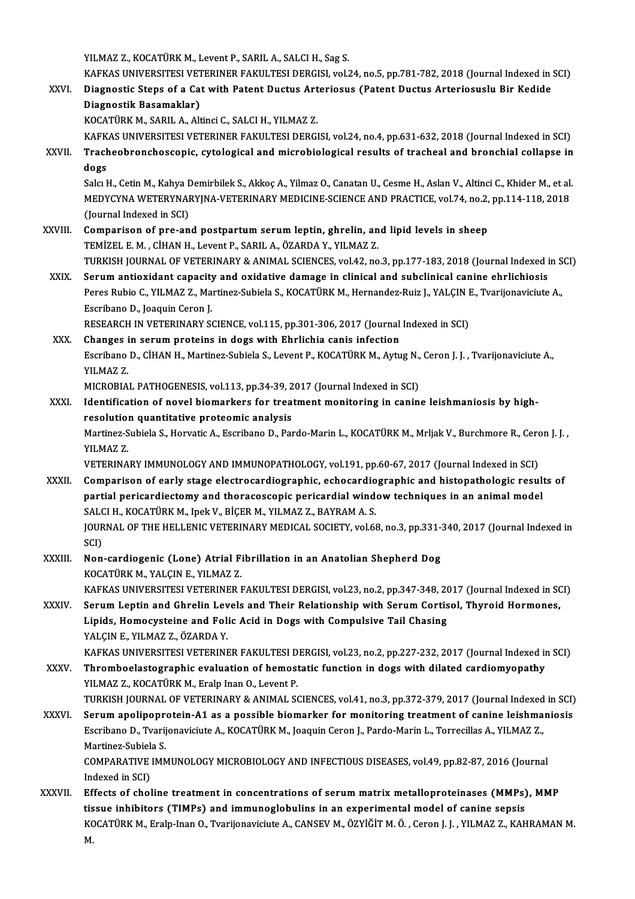YILMAZ Z., KOCATÜRK M., Levent P., SARIL A., SALCI H., Sag S. YILMAZ Z., KOCATÜRK M., Levent P., SARIL A., SALCI H., Sag S.<br>KAFKAS UNIVERSITESI VETERINER FAKULTESI DERGISI, vol.24, no.5, pp.781-782, 2018 (Journal Indexed in SCI)<br>Diagnostia Stans of a Cet with Patent Dustus Artoriosus YILMAZ Z., KOCATÜRK M., Levent P., SARIL A., SALCI H., Sag S.<br>KAFKAS UNIVERSITESI VETERINER FAKULTESI DERGISI, vol.24, no.5, pp.781-782, 2018 (Journal Indexed in Arteriosus<br>Nignostic Steps of a Cat with Patent Ductus Arter KAFKAS UNIVERSITESI VET<br>Diagnostic Steps of a Ca<br>Diagnostik Basamaklar)<br><sup>VOCATÜRV</sup>M, SARH A Alt Diagnostic Steps of a Cat with Patent Ductus Arteriosus (Patent Ductus Arteriosuslu Bir Kedide<br>Diagnostik Basamaklar)<br>KOCATÜRK M., SARIL A., Altinci C., SALCI H., YILMAZ Z. KAFKAS UNIVERSITESI VETERINER FAKULTESI DERGISI, vol.24, no.4, pp.631-632, 2018 (Journal Indexed in SCI) KOCATÜRK M., SARIL A., Altinci C., SALCI H., YILMAZ Z.<br>KAFKAS UNIVERSITESI VETERINER FAKULTESI DERGISI, vol.24, no.4, pp.631-632, 2018 (Journal Indexed in SCI)<br>XXVII. Tracheobronchoscopic, cytological and microbiologic KAFK<br><mark>Trach</mark><br>dogs<br>Salcu<sup>t</sup> Tracheobronchoscopic, cytological and microbiological results of tracheal and bronchial collapse in<br>dogs<br>Salcı H., Cetin M., Kahya Demirbilek S., Akkoç A., Yilmaz O., Canatan U., Cesme H., Aslan V., Altinci C., Khider M., dogs<br>Salcı H., Cetin M., Kahya Demirbilek S., Akkoç A., Yilmaz O., Canatan U., Cesme H., Aslan V., Altinci C., Khider M., et al.<br>MEDYCYNA WETERYNARYJNA-VETERINARY MEDICINE-SCIENCE AND PRACTICE, vol.74, no.2, pp.114-118, 20 Salcı H., Cetin M., Kahya I<br>MEDYCYNA WETERYNAI<br>(Journal Indexed in SCI)<br>Comnarison of nro-an MEDYCYNA WETERYNARYJNA-VETERINARY MEDICINE-SCIENCE AND PRACTICE, vol.74, no.2,<br>(Journal Indexed in SCI)<br>XXVIII. Comparison of pre-and postpartum serum leptin, ghrelin, and lipid levels in sheep<br>TEMIZELE M. CUAN H. Lovort B (Journal Indexed in SCI)<br>Comparison of pre-and postpartum serum leptin, ghrelin, and lipid levels in sheep<br>TEMİZEL E. M. , CİHAN H., Levent P., SARIL A., ÖZARDA Y., YILMAZ Z. Comparison of pre-and postpartum serum leptin, ghrelin, and lipid levels in sheep<br>TEMİZEL E. M. , CİHAN H., Levent P., SARIL A., ÖZARDA Y., YILMAZ Z.<br>TURKISH JOURNAL OF VETERINARY & ANIMAL SCIENCES, vol.42, no.3, pp.177-18 TEMIZEL E. M., CIHAN H., Levent P., SARIL A., ÖZARDA Y., YILMAZ Z.<br>TURKISH JOURNAL OF VETERINARY & ANIMAL SCIENCES, vol.42, no.3, pp.177-183, 2018 (Journal Indexed in<br>XXIX. Serum antioxidant capacity and oxidative damage i TURKISH JOURNAL OF VETERINARY & ANIMAL SCIENCES, vol.42, no.3, pp.177-183, 2018 (Journal Indexed in S<br>Serum antioxidant capacity and oxidative damage in clinical and subclinical canine ehrlichiosis<br>Peres Rubio C., YILMAZ Z Serum antioxidant capacity and oxidative damage in clinical and subclinical canine ehrlichiosis<br>Peres Rubio C., YILMAZ Z., Martinez-Subiela S., KOCATÜRK M., Hernandez-Ruiz J., YALÇIN E., Tvarijonaviciute A.,<br>Escribano D., RESEARCH IN VETERINARY SCIENCE, vol.115, pp.301-306, 2017 (Journal Indexed in SCI) Escribano D., Joaquin Ceron J.<br>RESEARCH IN VETERINARY SCIENCE, vol.115, pp.301-306, 2017 (Journal<br>XXX. Changes in serum proteins in dogs with Ehrlichia canis infection<br>Fectiones D. CittAN H. Mertines Subjek S. Jovent B. FO RESEARCH IN VETERINARY SCIENCE, vol.115, pp.301-306, 2017 (Journal Indexed in SCI)<br>Changes in serum proteins in dogs with Ehrlichia canis infection<br>Escribano D., CİHAN H., Martinez-Subiela S., Levent P., KOCATÜRK M., Aytug Changes<br>Escribano<br>YILMAZ Z.<br>MICPOPIA Escribano D., CİHAN H., Martinez-Subiela S., Levent P., KOCATÜRK M., Aytug N.,<br>YILMAZ Z.<br>MICROBIAL PATHOGENESIS, vol.113, pp.34-39, 2017 (Journal Indexed in SCI)<br>Identification of novel biomarkers for treatment menitoring YILMAZ Z.<br>MICROBIAL PATHOGENESIS, vol.113, pp.34-39, 2017 (Journal Indexed in SCI)<br>XXXI. Identification of novel biomarkers for treatment monitoring in canine leishmaniosis by high-<br>recelution quantitative preteemis analys MICROBIAL PATHOGENESIS, vol.113, pp.34-39, 2<br>Identification of novel biomarkers for trea<br>resolution quantitative proteomic analysis<br>Martinez Subiele S. Hervatic A. Escribane D. Per Identification of novel biomarkers for treatment monitoring in canine leishmaniosis by high-<br>resolution quantitative proteomic analysis<br>Martinez-Subiela S., Horvatic A., Escribano D., Pardo-Marin L., KOCATÜRK M., Mrljak V. resolution quantitative proteomic analysis<br>Martinez-Subiela S., Horvatic A., Escribano D., Pardo-Marin L., KOCATÜRK M., Mrljak V., Burchmore R., Cero<br>YILMAZ Z.<br>VETERINARY IMMUNOLOGY AND IMMUNOPATHOLOGY, vol.191, pp.60-67, Martinez-Subiela S., Horvatic A., Escribano D., Pardo-Marin L., KOCATÜRK M., Mrljak V., Burchmore R., Ceron J.J., XXXII. Comparison of early stage electrocardiographic, echocardiographic and histopathologic results of VETERINARY IMMUNOLOGY AND IMMUNOPATHOLOGY, vol.191, pp.60-67, 2017 (Journal Indexed in SCI)<br>Comparison of early stage electrocardiographic, echocardiographic and histopathologic result<br>partial pericardiectomy and thoracosc Comparison of early stage electrocardiographic, echocardio<br>partial pericardiectomy and thoracoscopic pericardial wind<br>SALCI H., KOCATÜRK M., Ipek V., BİÇER M., YILMAZ Z., BAYRAM A. S.<br>JOUPMAL OF THE HELLENIC VETERINARY MED partial pericardiectomy and thoracoscopic pericardial window techniques in an animal model<br>SALCI H., KOCATÜRK M., Ipek V., BİÇER M., YILMAZ Z., BAYRAM A. S.<br>JOURNAL OF THE HELLENIC VETERINARY MEDICAL SOCIETY, vol.68, no.3, SALCI H., KOCATÜRK M., Ipek V., BİÇER M., YILMAZ Z., BAYRAM A. S.<br>JOURNAL OF THE HELLENIC VETERINARY MEDICAL SOCIETY, vol.68, no.3, pp.331-340, 2017 (Journal Indexed in<br>SCI) JOURNAL OF THE HELLENIC VETERINARY MEDICAL SOCIETY, vol.68, no.3, pp.331-3<br>SCI)<br>XXXIII. Non-cardiogenic (Lone) Atrial Fibrillation in an Anatolian Shepherd Dog<br>XOCATURY M, VALCINE, VILMAZZ SCI)<br>Non-cardiogenic (Lone) Atrial F:<br>KOCATÜRK M., YALÇIN E., YILMAZ Z.<br>KAEKAS UNIVERSITESI VETERINER I Non-cardiogenic (Lone) Atrial Fibrillation in an Anatolian Shepherd Dog<br>KOCATÜRK M., YALÇIN E., YILMAZ Z.<br>KAFKAS UNIVERSITESI VETERINER FAKULTESI DERGISI, vol.23, no.2, pp.347-348, 2017 (Journal Indexed in SCI)<br>Serum Lanti KOCATÜRK M., YALÇIN E., YILMAZ Z.<br>KAFKAS UNIVERSITESI VETERINER FAKULTESI DERGISI, vol.23, no.2, pp.347-348, 2017 (Journal Indexed in SC<br>XXXIV. Serum Leptin and Ghrelin Levels and Their Relationship with Serum Cortisol, Th KAFKAS UNIVERSITESI VETERINER FAKULTESI DERGISI, vol.23, no.2, pp.347-348, 20<br>Serum Leptin and Ghrelin Levels and Their Relationship with Serum Cortis<br>Lipids, Homocysteine and Folic Acid in Dogs with Compulsive Tail Chasin Serum Leptin and Ghrelin Levels and Their Relationship with Serum Cortisol, Thyroid Hormones,<br>Lipids, Homocysteine and Folic Acid in Dogs with Compulsive Tail Chasing<br>YALÇIN E., YILMAZ Z., ÖZARDA Y. KAFKAS UNIVERSITESI VETERINER FAKULTESI DERGISI, vol.23, no.2, pp.227-232, 2017 (Journal Indexed in SCI) XXXV. Thromboelastographic evaluation of hemostatic function in dogs with dilated cardiomyopathy YILMAZ Z., KOCATÜRK M., Eralp Inan O., Levent P. Thromboelastographic evaluation of hemostatic function in dogs with dilated cardiomyopathy<br>YILMAZ Z., KOCATÜRK M., Eralp Inan O., Levent P.<br>TURKISH JOURNAL OF VETERINARY & ANIMAL SCIENCES, vol.41, no.3, pp.372-379, 2017 (J YILMAZ Z., KOCATÜRK M., Eralp Inan O., Levent P.<br>TURKISH JOURNAL OF VETERINARY & ANIMAL SCIENCES, vol.41, no.3, pp.372-379, 2017 (Journal Indexed in SCI)<br>XXXVI. Serum apolipoprotein-A1 as a possible biomarker for monitorin TURKISH JOURNAL OF VETERINARY & ANIMAL SCIENCES, vol.41, no.3, pp.372-379, 2017 (Journal Indexed<br>Serum apolipoprotein-A1 as a possible biomarker for monitoring treatment of canine leishma<br>Escribano D., Tvarijonaviciute A., Serum apolipoprotein-A1 as a possible biomarker for monitoring treatment of canine leishmaniosis<br>Escribano D., Tvarijonaviciute A., KOCATÜRK M., Joaquin Ceron J., Pardo-Marin L., Torrecillas A., YILMAZ Z.,<br>Martinez-Subiela Escribano D., Tvarijonaviciute A., KOCATÜRK M., Joaquin Ceron J., Pardo-Marin L., Torrecillas A., YILMAZ Z.,<br>Martinez-Subiela S.<br>COMPARATIVE IMMUNOLOGY MICROBIOLOGY AND INFECTIOUS DISEASES, vol.49, pp.82-87, 2016 (Journal<br> Martinez-Subiel<br>COMPARATIVE<br>Indexed in SCI)<br>Effects of shol COMPARATIVE IMMUNOLOGY MICROBIOLOGY AND INFECTIOUS DISEASES, vol.49, pp.82-87, 2016 (Journal<br>Indexed in SCI)<br>XXXVII. Effects of choline treatment in concentrations of serum matrix metalloproteinases (MMPs), MMP<br>tissue inhi

Indexed in SCI)<br>Effects of choline treatment in concentrations of serum matrix metalloproteinases (MMPs)<br>tissue inhibitors (TIMPs) and immunoglobulins in an experimental model of canine sepsis<br>KOCATÜRK M. Erala Inan O. Tya tissue inhibitors (TIMPs) and immunoglobulins in an experimental model of canine sepsis<br>KOCATÜRK M., Eralp-Inan O., Tvarijonaviciute A., CANSEV M., ÖZYİĞİT M. Ö. , Ceron J. J. , YILMAZ Z., KAHRAMAN M.<br>M. tis<br>KC<br>M.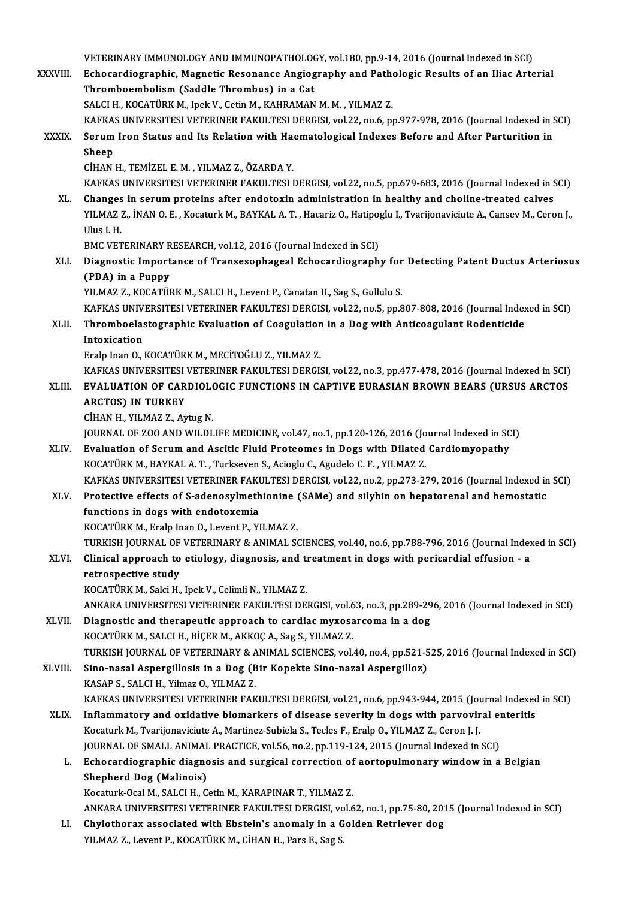VETERINARY IMMUNOLOGY AND IMMUNOPATHOLOGY, vol.180, pp.9-14, 2016 (Journal Indexed in SCI)<br>Febogardiographie, Megnetie Besonance, Angiography and Bethologic Besults of an Ilias, Arts VETERINARY IMMUNOLOGY AND IMMUNOPATHOLOGY, vol.180, pp.9-14, 2016 (Journal Indexed in SCI)<br>XXXVIII. Echocardiographic, Magnetic Resonance Angiography and Pathologic Results of an Iliac Arterial VETERINARY IMMUNOLOGY AND IMMUNOPATHOLOO<br>Echocardiographic, Magnetic Resonance Angiog<br>Thromboembolism (Saddle Thrombus) in a Cat<br>SALCH KOCATÜRK M. Ingk.V. Catin M. KAHRAMAN Echocardiographic, Magnetic Resonance Angiography and Pathologic Results of an Iliac Arterial<br>Thromboembolism (Saddle Thrombus) in a Cat<br>SALCI H., KOCATÜRK M., Ipek V., Cetin M., KAHRAMAN M. M. , YILMAZ Z. Thromboembolism (Saddle Thrombus) in a Cat<br>SALCI H., KOCATÜRK M., Ipek V., Cetin M., KAHRAMAN M. M. , YILMAZ Z.<br>KAFKAS UNIVERSITESI VETERINER FAKULTESI DERGISI, vol.22, no.6, pp.977-978, 2016 (Journal Indexed in SCI)<br>Serum SALCI H., KOCATÜRK M., Ipek V., Cetin M., KAHRAMAN M. M. , YILMAZ Z.<br>KAFKAS UNIVERSITESI VETERINER FAKULTESI DERGISI, vol.22, no.6, pp.977-978, 2016 (Journal Indexed in S<br>XXXIX. Serum Iron Status and Its Relation with Haem KAFKA:<br>Serum<br>Sheep<br>Ciu^N Serum Iron Status and Its Relation with Ha<mark>s</mark><br>Sheep<br>CİHAN H., TEMİZEL E. M. , YILMAZ Z., ÖZARDA Y.<br>KARKAS UNIVERSITESI VETERINER RAKULTESI I Sheep<br>CİHAN H., TEMİZEL E. M. , YILMAZ Z., ÖZARDA Y.<br>KAFKAS UNIVERSITESI VETERINER FAKULTESI DERGISI, vol.22, no.5, pp.679-683, 2016 (Journal Indexed in SCI) XL. Changes in serumproteins after endotoxin administration in healthy and choline-treated calves KAFKAS UNIVERSITESI VETERINER FAKULTESI DERGISI, vol.22, no.5, pp.679-683, 2016 (Journal Indexed in SCI)<br>Changes in serum proteins after endotoxin administration in healthy and choline-treated calves<br>YILMAZ Z., İNAN O. E. Changes<br>YILMAZ<br>Ulus I. H.<br>PMC VET YILMAZ Z., İNAN O. E. , Kocaturk M., BAYKAL A. T. , Hacariz O., Hatipo<sub>l</sub><br>Ulus I. H.<br>BMC VETERINARY RESEARCH, vol.12, 2016 (Journal Indexed in SCI)<br>Diagnostis Importance of Transesophageal Esbocardiograph Ulus I. H.<br>BMC VETERINARY RESEARCH, vol.12, 2016 (Journal Indexed in SCI)<br>XLI. Diagnostic Importance of Transesophageal Echocardiography for Detecting Patent Ductus Arteriosus<br>(PDA) in a Punny BMC VETERINARY R<br>Diagnostic Import<br>(PDA) in a Puppy<br>VII MAZ Z KOCATÜL Diagnostic Importance of Transesophageal Echocardiography for<br>(PDA) in a Puppy<br>YILMAZ Z., KOCATÜRK M., SALCI H., Levent P., Canatan U., Sag S., Gullulu S.<br>KAEKAS UNIVERSITESI VETERINER FAKIU TESI DERCISL vel 22 ne 5 nn 9 (PDA) in a Puppy<br>YILMAZ Z., KOCATÜRK M., SALCI H., Levent P., Canatan U., Sag S., Gullulu S.<br>KAFKAS UNIVERSITESI VETERINER FAKULTESI DERGISI, vol.22, no.5, pp.807-808, 2016 (Journal Indexed in SCI) YILMAZ Z., KOCATÜRK M., SALCI H., Levent P., Canatan U., Sag S., Gullulu S.<br>KAFKAS UNIVERSITESI VETERINER FAKULTESI DERGISI, vol.22, no.5, pp.807-808, 2016 (Journal Index<br>XLII. Thromboelastographic Evaluation of Coagul KAFKAS UNIV<br>Thromboelas<br>Intoxication<br>Erelp Inen O Thromboelastographic Evaluation of Coagulation<br>Intoxication<br>Eralp Inan O., KOCATÜRK M., MECİTOĞLU Z., YILMAZ Z.<br>KAEKAS UNIVERSITESI VETERINER FAKULTESI DERCII Intoxic<mark>ation</mark><br>Eralp Inan O., KOCATÜRK M., MECİTOĞLU Z., YILMAZ Z.<br>KAFKAS UNIVERSITESI VETERINER FAKULTESI DERGISI, vol.22, no.3, pp.477-478, 2016 (Journal Indexed in SCI)<br>EVALUATION OE CARDIOLOCIC EUNCTIONS IN CARTIVE EUR Eralp Inan O., KOCATÜRK M., MECITOĞLU Z., YILMAZ Z.<br>KAFKAS UNIVERSITESI VETERINER FAKULTESI DERGISI, vol.22, no.3, pp.477-478, 2016 (Journal Indexed in SCI)<br>APCTOS) IN TIIPKEV KAFKAS UNIVERSITESI<br><mark>EVALUATION OF CAR</mark><br>ARCTOS) IN TURKEY<br>C<sup>IHAN H</sup> YU MAZ Z. AY EVALUATION OF CARDIOLOGIC FUNCTIONS IN CAPTIVE EURASIAN BROWN BEARS (URSUS ARCTOS ARCTOS) IN TURKEY<br>ARCTOS) IN TURKEY<br>CİHAN H., YILMAZ Z., Aytug N. ARCTOS) IN TURKEY<br>CİHAN H., YILMAZ Z., Aytug N.<br>JOURNAL OF ZOO AND WILDLIFE MEDICINE, vol.47, no.1, pp.120-126, 2016 (Journal Indexed in SCI)<br>Evaluation of Serum and Assitic Eluid Prateames in Dogs with Dilated Cardiamyona CIHAN H., YILMAZ Z., Aytug N.<br>JOURNAL OF ZOO AND WILDLIFE MEDICINE, vol.47, no.1, pp.120-126, 2016 (Journal Indexed in SC<br>XLIV. Evaluation of Serum and Ascitic Fluid Proteomes in Dogs with Dilated Cardiomyopathy<br>KOCATÜPK M JOURNAL OF ZOO AND WILDLIFE MEDICINE, vol.47, no.1, pp.120-126, 2016 (Jo<br>Evaluation of Serum and Ascitic Fluid Proteomes in Dogs with Dilated<br>KOCATÜRK M., BAYKAL A. T. , Turkseven S., Acioglu C., Agudelo C. F. , YILMAZ Z.<br> Evaluation of Serum and Ascitic Fluid Proteomes in Dogs with Dilated Cardiomyopathy<br>KOCATÜRK M., BAYKAL A. T. , Turkseven S., Acioglu C., Agudelo C. F. , YILMAZ Z.<br>KAFKAS UNIVERSITESI VETERINER FAKULTESI DERGISI, vol.22, n KOCATÜRK M., BAYKAL A. T. , Turkseven S., Acioglu C., Agudelo C. F. , YILMAZ Z.<br>KAFKAS UNIVERSITESI VETERINER FAKULTESI DERGISI, vol.22, no.2, pp.273-279, 2016 (Journal Indexed in<br>XLV. Protective effects of S-adenosylmethi KAFKAS UNIVERSITESI VETERINER FAKU<br>Protective effects of S-adenosylmeth<br>functions in dogs with endotoxemia<br>VOCATURY M. Eralp Inan O. Lavant B. VI Protective effects of S-adenosylmethionine<br>functions in dogs with endotoxemia<br>KOCATÜRK M., Eralp Inan O., Levent P., YILMAZ Z.<br>TURKISH JOURNAL OF VETERINARY & ANIMAL SC functions in dogs with endotoxemia<br>KOCATÜRK M., Eralp Inan O., Levent P., YILMAZ Z.<br>TURKISH JOURNAL OF VETERINARY & ANIMAL SCIENCES, vol.40, no.6, pp.788-796, 2016 (Journal Indexed in SCI)<br>Clinical annuogab to etiology, di KOCATÜRK M., Eralp Inan O., Levent P., YILMAZ Z.<br>TURKISH JOURNAL OF VETERINARY & ANIMAL SCIENCES, vol.40, no.6, pp.788-796, 2016 (Journal Index<br>XLVI. Clinical approach to etiology, diagnosis, and treatment in dogs with TURKISH JOURNAL OF<br>Clinical approach to<br>retrospective study<br><sup>VOCATUDV</sup>M Selsi H XLVI. Clinical approach to etiology, diagnosis, and treatment in dogs with pericardial effusion - a<br>retrospective study<br>KOCATÜRK M., Salci H., Ipek V., Celimli N., YILMAZ Z. ANKARAUNIVERSITESIVETERINERFAKULTESIDERGISI,vol.63,no.3,pp.289-296,2016 (Journal Indexed inSCI) XLVII. Diagnostic and therapeutic approach to cardiac myxosarcoma in a dog KOCATÜRK M., SALCI H., BİÇER M., AKKOÇ A., Sag S., YILMAZ Z. TURKISH JOURNAL OF VETERINARY & ANIMAL SCIENCES, vol.40, no.4, pp.521-525, 2016 (Journal Indexed in SCI) XLVIII. Sino-nasal Aspergillosis in a Dog (Bir Kopekte Sino-nazal Aspergilloz) KASAP S., SALCI H., Yilmaz O., YILMAZ Z. Sino-nasal Aspergillosis in a Dog (Bir Kopekte Sino-nazal Aspergilloz)<br>KASAP S., SALCI H., Yilmaz O., YILMAZ Z.<br>KAFKAS UNIVERSITESI VETERINER FAKULTESI DERGISI, vol.21, no.6, pp.943-944, 2015 (Journal Indexed in SCI)<br>Infla KASAP S., SALCI H., Yilmaz O., YILMAZ Z.<br>KAFKAS UNIVERSITESI VETERINER FAKULTESI DERGISI, vol.21, no.6, pp.943-944, 2015 (Journal Indexed<br>XLIX. Inflammatory and oxidative biomarkers of disease severity in dogs with parvovi KAFKAS UNIVERSITESI VETERINER FAKULTESI DERGISI, vol.21, no.6, pp.943-944, 2015 (Journal Index of Inflammatory and oxidative biomarkers of disease severity in dogs with parvovir<br>Kocaturk M., Tvarijonaviciute A., Martinez-S Inflammatory and oxidative biomarkers of disease severity in dogs with parvoviral en<br>Kocaturk M., Tvarijonaviciute A., Martinez-Subiela S., Tecles F., Eralp O., YILMAZ Z., Ceron J. J.<br>JOURNAL OF SMALL ANIMAL PRACTICE, vol. Kocaturk M., Tvarijonaviciute A., Martinez-Subiela S., Tecles F., Eralp O., YILMAZ Z., Ceron J. J.<br>JOURNAL OF SMALL ANIMAL PRACTICE, vol.56, no.2, pp.119-124, 2015 (Journal Indexed in SCI)<br>L. Echocardiographic diagnosis an JOURNAL OF SMALL ANIMAL PRACTICE, vol.56, no.2, pp.119-124, 2015 (Journal Indexed in SCI)<br>Echocardiographic diagnosis and surgical correction of aortopulmonary window in a<br>Shepherd Dog (Malinois)<br>Kocaturk-Ocal M., SALCI H. Echocardiographic diagnosis and surgical correction of<br>Shepherd Dog (Malinois)<br>Kocaturk-Ocal M., SALCI H., Cetin M., KARAPINAR T., YILMAZ Z.<br>ANKARA UNIVERSITESI VETERINER FAKULTESI DERGISL volé Shepherd Dog (Malinois)<br>Kocaturk-Ocal M., SALCI H., Cetin M., KARAPINAR T., YILMAZ Z.<br>ANKARA UNIVERSITESI VETERINER FAKULTESI DERGISI, vol.62, no.1, pp.75-80, 2015 (Journal Indexed in SCI)<br>Chylethorey, essesiated with Ebst LI. Chylothorax associated with Ebstein's anomaly in a Golden Retriever dog YILMAZ Z., Levent P., KOCATÜRK M., CİHAN H., Pars E., Sag S. ANKARA UNIVERSITESI VETERINER FAKULTESI DERGISI, vo<br>Chylothorax associated with Ebstein's anomaly in a G<br>YILMAZ Z., Levent P., KOCATÜRK M., CİHAN H., Pars E., Sag S.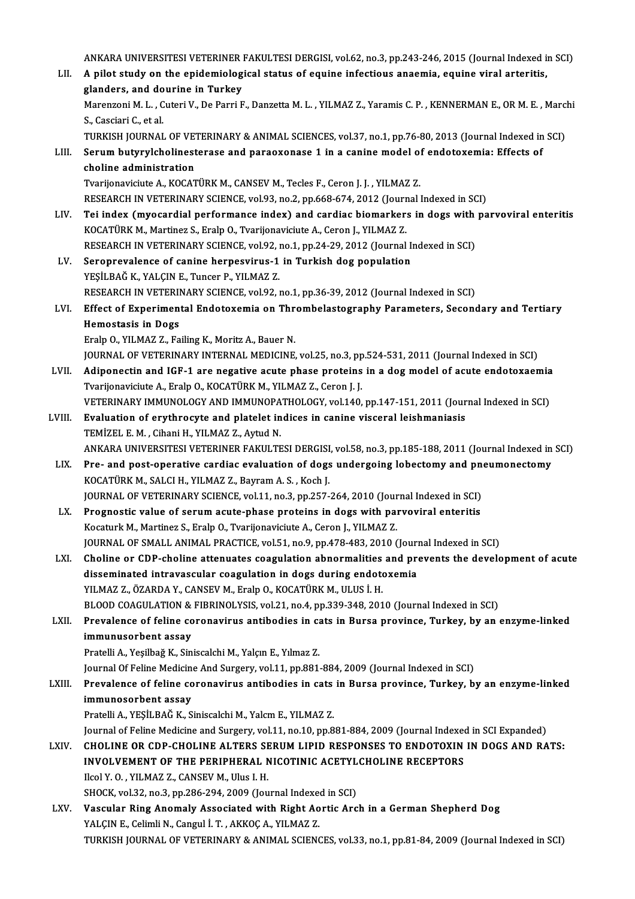ANKARA UNIVERSITESI VETERINER FAKULTESI DERGISI, vol.62, no.3, pp.243-246, 2015 (Journal Indexed in SCI)<br>A nilet study on the enidemialegisel status of equine infectious anoamia, equine vinal arteritis. ANKARA UNIVERSITESI VETERINER FAKULTESI DERGISI, vol.62, no.3, pp.243-246, 2015 (Journal Indexed in Turkey)<br>LII. A pilot study on the epidemiological status of equine infectious anaemia, equine viral arteritis, ANKARA UNIVERSITESI VETERINER<br>A pilot study on the epidemiolog<br>glanders, and dourine in Turkey<br>Maranzani M. L. Cutari V. De Barri E A pilot study on the epidemiological status of equine infectious anaemia, equine viral arteritis,<br>glanders, and dourine in Turkey<br>Marenzoni M. L. , Cuteri V., De Parri F., Danzetta M. L. , YILMAZ Z., Yaramis C. P. , KENNER glanders, and do<br>Marenzoni M. L. , C<br>S., Casciari C., et al.<br>TUREER JOURNAL Marenzoni M. L. , Cuteri V., De Parri F., Danzetta M. L. , YILMAZ Z., Yaramis C. P. , KENNERMAN E., OR M. E. , Marc<br>S., Casciari C., et al.<br>TURKISH JOURNAL OF VETERINARY & ANIMAL SCIENCES, vol.37, no.1, pp.76-80, 2013 (Jou S., Casciari C., et al.<br>TURKISH JOURNAL OF VETERINARY & ANIMAL SCIENCES, vol.37, no.1, pp.76-80, 2013 (Journal Indexed in<br>LIII. Serum butyrylcholinesterase and paraoxonase 1 in a canine model of endotoxemia: Effects of TURKISH JOURNAL OF VET<br>Serum butyrylcholinest<br>choline administration<br>Tyarijonavisiute A KOCAT Serum butyrylcholinesterase and paraoxonase 1 in a canine model of<br>choline administration<br>Tvarijonaviciute A., KOCATÜRK M., CANSEV M., Tecles F., Ceron J. J. , YILMAZ Z.<br>RESEARCH IN VETERINARY SCIENCE vol.93, no.3, nn.669, choline administration<br>Tvarijonaviciute A., KOCATÜRK M., CANSEV M., Tecles F., Ceron J. J. , YILMAZ Z.<br>RESEARCH IN VETERINARY SCIENCE, vol.93, no.2, pp.668-674, 2012 (Journal Indexed in SCI)<br>Tei index (myesendial performan Tvarijonaviciute A., KOCATÜRK M., CANSEV M., Tecles F., Ceron J. J. , YILMAZ Z.<br>RESEARCH IN VETERINARY SCIENCE, vol.93, no.2, pp.668-674, 2012 (Journal Indexed in SCI)<br>LIV. Tei index (myocardial performance index) and card RESEARCH IN VETERINARY SCIENCE, vol.93, no.2, pp.668-674, 2012 (Journ<br>Tei index (myocardial performance index) and cardiac biomarker:<br>KOCATÜRK M., Martinez S., Eralp O., Tvarijonaviciute A., Ceron J., YILMAZ Z.<br>RESEARCH IN Tei index (myocardial performance index) and cardiac biomarkers in dogs with<br>KOCATÜRK M., Martinez S., Eralp O., Tvarijonaviciute A., Ceron J., YILMAZ Z.<br>RESEARCH IN VETERINARY SCIENCE, vol.92, no.1, pp.24-29, 2012 (Journa KOCATÜRK M., Martinez S., Eralp O., Tvarijonaviciute A., Ceron J., YILMAZ Z.<br>RESEARCH IN VETERINARY SCIENCE, vol.92, no.1, pp.24-29, 2012 (Journal L.<br>LV. Seroprevalence of canine herpesvirus-1 in Turkish dog population<br>ves RESEARCH IN VETERINARY SCIENCE, vol.92, i<br>Seroprevalence of canine herpesvirus-1<br>YEŞİLBAĞ K., YALÇIN E., Tuncer P., YILMAZ Z.<br>RESEARCH IN VETERINARY SCIENCE, vol.92 . YEŞİLBAĞ K., YALÇIN E., Tuncer P., YILMAZ Z.<br>RESEARCH IN VETERINARY SCIENCE, vol.92, no.1, pp.36-39, 2012 (Journal Indexed in SCI) YEŞİLBAĞ K., YALÇIN E., Tuncer P., YILMAZ Z.<br>RESEARCH IN VETERINARY SCIENCE, vol.92, no.1, pp.36-39, 2012 (Journal Indexed in SCI)<br>LVI. Effect of Experimental Endotoxemia on Thrombelastography Parameters, Secondary and RESEARCH IN VETERII<br>Effect of Experimen<br>Hemostasis in Dogs<br>Enalp O VII MAZZ Eq Effect of Experimental Endotoxemia on Thr<br>Hemostasis in Dogs<br>Eralp O., YILMAZ Z., Failing K., Moritz A., Bauer N.<br>JOURNAL OF VETERINARY INTERNAL MEDICINE Hemostasis in Dogs<br>Eralp O., YILMAZ Z., Failing K., Moritz A., Bauer N.<br>JOURNAL OF VETERINARY INTERNAL MEDICINE, vol.25, no.3, pp.524-531, 2011 (Journal Indexed in SCI)<br>Adinenestin and JCE 1 are negative seute phase protei Eralp O., YILMAZ Z., Failing K., Moritz A., Bauer N.<br>JOURNAL OF VETERINARY INTERNAL MEDICINE, vol.25, no.3, pp.524-531, 2011 (Journal Indexed in SCI)<br>LVII. Adiponectin and IGF-1 are negative acute phase proteins in a dog m JOURNAL OF VETERINARY INTERNAL MEDICINE, vol.25, no.3, pp<br>Adiponectin and IGF-1 are negative acute phase proteins<br>Tvarijonaviciute A., Eralp O., KOCATÜRK M., YILMAZ Z., Ceron J. J.<br>VETERINARY IMMUNOLOCY AND IMMUNORATHOLOCY Adiponectin and IGF-1 are negative acute phase proteins in a dog model of acute endotoxaemia<br>Tvarijonaviciute A., Eralp O., KOCATÜRK M., YILMAZ Z., Ceron J. J.<br>VETERINARY IMMUNOLOGY AND IMMUNOPATHOLOGY, vol.140, pp.147-151 LVIII. Evaluation of erythrocyte and platelet indices in canine visceral leishmaniasis<br>TEMIZEL E. M., Cihani H., YILMAZ Z., Aytud N. VETERINARY IMMUNOLOGY AND IMMUNOPA<br>Evaluation of erythrocyte and platelet in<br>TEMİZEL E. M. , Cihani H., YILMAZ Z., Aytud N.<br>ANKARA UNIVERSITESI VETERINER FAKULTE Evaluation of erythrocyte and platelet indices in canine visceral leishmaniasis<br>TEMİZEL E. M. , Cihani H., YILMAZ Z., Aytud N.<br>ANKARA UNIVERSITESI VETERINER FAKULTESI DERGISI, vol.58, no.3, pp.185-188, 2011 (Journal Indexe TEMİZEL E. M. , Cihani H., YILMAZ Z., Aytud N.<br>ANKARA UNIVERSITESI VETERINER FAKULTESI DERGISI, vol.58, no.3, pp.185-188, 2011 (Journal Indexed in<br>LIX. Pre- and post-operative cardiac evaluation of dogs undergoing lobectom ANKARA UNIVERSITESI VETERINER FAKULTESI DERGISI<br>Pre- and post-operative cardiac evaluation of dogs<br>KOCATÜRK M., SALCI H., YILMAZ Z., Bayram A. S. , Koch J.<br>JOUPNAL OF VETERINARY SCIENCE vol 11 no 3 nn 357 Pre- and post-operative cardiac evaluation of dogs undergoing lobectomy and pn<br>KOCATÜRK M., SALCI H., YILMAZ Z., Bayram A. S. , Koch J.<br>JOURNAL OF VETERINARY SCIENCE, vol.11, no.3, pp.257-264, 2010 (Journal Indexed in SCI) KOCATÜRK M., SALCI H., YILMAZ Z., Bayram A. S., Koch J.<br>JOURNAL OF VETERINARY SCIENCE, vol.11, no.3, pp.257-264, 2010 (Journal Indexed in SCI)<br>LX. Prognostic value of serum acute-phase proteins in dogs with parvoviral ente JOURNAL OF VETERINARY SCIENCE, vol.11, no.3, pp.257-264, 2010 (Journagnostic value of serum acute-phase proteins in dogs with pair<br>Kocaturk M., Martinez S., Eralp O., Tvarijonaviciute A., Ceron J., YILMAZ Z.<br>JOURNAL OF SMA Prognostic value of serum acute-phase proteins in dogs with parvoviral enteritis<br>Kocaturk M., Martinez S., Eralp O., Tvarijonaviciute A., Ceron J., YILMAZ Z.<br>JOURNAL OF SMALL ANIMAL PRACTICE, vol.51, no.9, pp.478-483, 2010 Kocaturk M., Martinez S., Eralp O., Tvarijonaviciute A., Ceron J., YILMAZ Z.<br>JOURNAL OF SMALL ANIMAL PRACTICE, vol.51, no.9, pp.478-483, 2010 (Journal Indexed in SCI)<br>LXI. Choline or CDP-choline attenuates coagulation abno JOURNAL OF SMALL ANIMAL PRACTICE, vol.51, no.9, pp.478-483, 2010 (Journ<br>Choline or CDP-choline attenuates coagulation abnormalities and producemia<br>disseminated intravascular coagulation in dogs during endotoxemia<br>VUMAZZ ÖZ YILMAZ Z., ÖZARDA Y., CANSEV M., Eralp O., KOCATÜRK M., ULUS İ. H. disseminated intravascular coagulation in dogs during endotoxemia<br>YILMAZ Z., ÖZARDA Y., CANSEV M., Eralp O., KOCATÜRK M., ULUS İ. H.<br>BLOOD COAGULATION & FIBRINOLYSIS, vol.21, no.4, pp.339-348, 2010 (Journal Indexed in SCI) YILMAZ Z., ÖZARDA Y., CANSEV M., Eralp O., KOCATÜRK M., ULUS İ. H.<br>BLOOD COAGULATION & FIBRINOLYSIS, vol.21, no.4, pp.339-348, 2010 (Journal Indexed in SCI)<br>LXII. Prevalence of feline coronavirus antibodies in cats in BLOOD COAGULATION &<br>Prevalence of feline co<br>immunusorbent assay<br>Pratelli A. Vesilhağ K. Sin Prevalence of feline coronavirus antibodies in ca<br>immunusorbent assay<br>Pratelli A., Yeşilbağ K., Siniscalchi M., Yalçın E., Yılmaz Z.<br>Journal Of Foline Medisine And Surgery, vol 11. pp.991 i<mark>mmunusorbent assay</mark><br>Pratelli A., Yeşilbağ K., Siniscalchi M., Yalçın E., Yılmaz Z.<br>Journal Of Feline Medicine And Surgery, vol.11, pp.881-884, 2009 (Journal Indexed in SCI) Pratelli A., Yeşilbağ K., Siniscalchi M., Yalçın E., Yılmaz Z.<br>Journal Of Feline Medicine And Surgery, vol.11, pp.881-884, 2009 (Journal Indexed in SCI)<br>LXIII. Prevalence of feline coronavirus antibodies in cats in Bursa p **Journal Of Feline Medicine<br>Prevalence of feline co<br>immunosorbent assay<br>Pretalli A, VESİLPAČ K, S** Prevalence of feline coronavirus antibodies in cats<br>immunosorbent assay<br>Pratelli A., YEŞİLBAĞ K., Siniscalchi M., Yalcm E., YILMAZ Z.<br>Journal of Feline Medisine and Surgery, vel 11 no 10 nn 8 i<mark>mmunosorbent assay</mark><br>Pratelli A., YEŞİLBAĞ K., Siniscalchi M., Yalcm E., YILMAZ Z.<br>Journal of Feline Medicine and Surgery, vol.11, no.10, pp.881-884, 2009 (Journal Indexed in SCI Expanded)<br>CHOLINE OR CDR CHOLINE ALTERS SE Pratelli A., YEŞİLBAĞ K., Siniscalchi M., Yalcm E., YILMAZ Z.<br>Journal of Feline Medicine and Surgery, vol.11, no.10, pp.881-884, 2009 (Journal Indexed in SCI Expanded)<br>LXIV. CHOLINE OR CDP-CHOLINE ALTERS SERUM LIPID RE Journal of Feline Medicine and Surgery, vol.11, no.10, pp.881-884, 2009 (Journal Indexed<br>CHOLINE OR CDP-CHOLINE ALTERS SERUM LIPID RESPONSES TO ENDOTOXIN<br>INVOLVEMENT OF THE PERIPHERAL NICOTINIC ACETYLCHOLINE RECEPTORS<br>Heel CHOLINE OR CDP-CHOLINE ALTERS SERUM LIPID RESPONSES TO ENDOTOXIN IN DOGS AND RATS:<br>INVOLVEMENT OF THE PERIPHERAL NICOTINIC ACETYLCHOLINE RECEPTORS<br>Ilcol Y. O., YILMAZ Z., CANSEV M., Ulus I. H. INVOLVEMENT OF THE PERIPHERAL NICOTINIC ACETYL<br>Ilcol Y. O. , YILMAZ Z., CANSEV M., Ulus I. H.<br>SHOCK, vol.32, no.3, pp.286-294, 2009 (Journal Indexed in SCI)<br>Vessular Bing Anomaly Associated with Bight Aentis Are LXV. Vascular Ring Anomaly Associated with Right Aortic Arch in a German Shepherd Dog SHOCK, vol.32, no.3, pp.286-294, 2009 (Journal Indexed<br>Vascular Ring Anomaly Associated with Right Ao<br>YALÇIN E., Celimli N., Cangul İ. T. , AKKOÇ A., YILMAZ Z.<br>TURKISH JOURNAL OF VETERINARY & ANIMAL SCIENC TURKISH JOURNAL OF VETERINARY & ANIMAL SCIENCES, vol.33, no.1, pp.81-84, 2009 (Journal Indexed in SCI)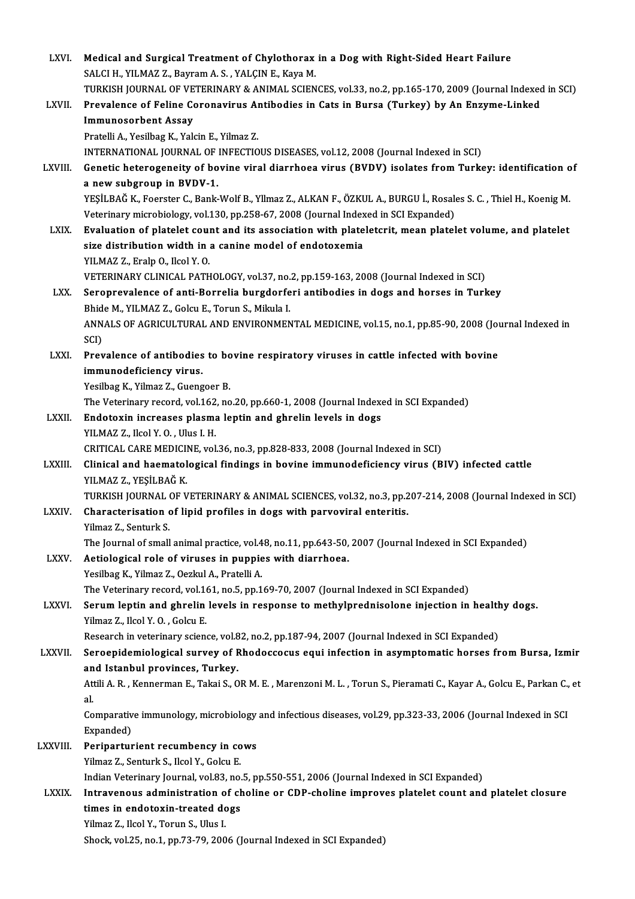| LXVI.          | Medical and Surgical Treatment of Chylothorax in a Dog with Right-Sided Heart Failure                                             |
|----------------|-----------------------------------------------------------------------------------------------------------------------------------|
|                | SALCI H., YILMAZ Z., Bayram A. S., YALÇIN E., Kaya M.                                                                             |
|                | TURKISH JOURNAL OF VETERINARY & ANIMAL SCIENCES, vol.33, no.2, pp.165-170, 2009 (Journal Indexed in SCI)                          |
| LXVII.         | Prevalence of Feline Coronavirus Antibodies in Cats in Bursa (Turkey) by An Enzyme-Linked                                         |
|                | <b>Immunosorbent Assay</b>                                                                                                        |
|                | Pratelli A., Yesilbag K., Yalcin E., Yilmaz Z.                                                                                    |
|                | INTERNATIONAL JOURNAL OF INFECTIOUS DISEASES, vol.12, 2008 (Journal Indexed in SCI)                                               |
| LXVIII.        | Genetic heterogeneity of bovine viral diarrhoea virus (BVDV) isolates from Turkey: identification of<br>a new subgroup in BVDV-1. |
|                | YEŞİLBAĞ K., Foerster C., Bank-Wolf B., Yllmaz Z., ALKAN F., ÖZKUL A., BURGU İ., Rosales S. C. , Thiel H., Koenig M.              |
|                | Veterinary microbiology, vol.130, pp.258-67, 2008 (Journal Indexed in SCI Expanded)                                               |
| LXIX.          | Evaluation of platelet count and its association with plateletcrit, mean platelet volume, and platelet                            |
|                | size distribution width in a canine model of endotoxemia                                                                          |
|                | YILMAZ Z., Eralp O., Ilcol Y.O.                                                                                                   |
|                | VETERINARY CLINICAL PATHOLOGY, vol.37, no.2, pp.159-163, 2008 (Journal Indexed in SCI)                                            |
| LXX.           | Seroprevalence of anti-Borrelia burgdorferi antibodies in dogs and horses in Turkey                                               |
|                | Bhide M., YILMAZ Z., Golcu E., Torun S., Mikula I.                                                                                |
|                | ANNALS OF AGRICULTURAL AND ENVIRONMENTAL MEDICINE, vol.15, no.1, pp.85-90, 2008 (Journal Indexed in                               |
|                | SCI)                                                                                                                              |
| LXXI.          | Prevalence of antibodies to bovine respiratory viruses in cattle infected with bovine                                             |
|                | immunodeficiency virus.                                                                                                           |
|                | Yesilbag K., Yilmaz Z., Guengoer B.                                                                                               |
|                | The Veterinary record, vol.162, no.20, pp.660-1, 2008 (Journal Indexed in SCI Expanded)                                           |
| <b>LXXII</b>   | Endotoxin increases plasma leptin and ghrelin levels in dogs                                                                      |
|                | YILMAZ Z., Ilcol Y O , Ulus I H.                                                                                                  |
|                | CRITICAL CARE MEDICINE, vol.36, no.3, pp.828-833, 2008 (Journal Indexed in SCI)                                                   |
| <b>LXXIII</b>  | Clinical and haematological findings in bovine immunodeficiency virus (BIV) infected cattle                                       |
|                | YILMAZ Z., YEŞİLBAĞ K.                                                                                                            |
|                | TURKISH JOURNAL OF VETERINARY & ANIMAL SCIENCES, vol.32, no.3, pp.207-214, 2008 (Journal Indexed in SCI)                          |
| <b>LXXIV</b>   | Characterisation of lipid profiles in dogs with parvoviral enteritis.                                                             |
|                | Yilmaz Z., Senturk S.                                                                                                             |
|                | The Journal of small animal practice, vol.48, no.11, pp.643-50, 2007 (Journal Indexed in SCI Expanded)                            |
| <b>LXXV</b>    | Aetiological role of viruses in puppies with diarrhoea.<br>Yesilbag K., Yilmaz Z., Oezkul A., Pratelli A.                         |
|                | The Veterinary record, vol.161, no.5, pp.169-70, 2007 (Journal Indexed in SCI Expanded)                                           |
| <b>LXXVI</b> . | Serum leptin and ghrelin levels in response to methylprednisolone injection in healthy dogs.                                      |
|                | Yilmaz Z., Ilcol Y.O., Golcu E.                                                                                                   |
|                | Research in veterinary science, vol.82, no.2, pp.187-94, 2007 (Journal Indexed in SCI Expanded)                                   |
| LXXVII.        | Seroepidemiological survey of Rhodoccocus equi infection in asymptomatic horses from Bursa, Izmir                                 |
|                | and Istanbul provinces, Turkey.                                                                                                   |
|                | Attili A. R., Kennerman E., Takai S., OR M. E., Marenzoni M. L., Torun S., Pieramati C., Kayar A., Golcu E., Parkan C., et        |
|                | al.                                                                                                                               |
|                | Comparative immunology, microbiology and infectious diseases, vol.29, pp.323-33, 2006 (Journal Indexed in SCI                     |
|                | Expanded)                                                                                                                         |
| <b>LXXVIII</b> | Periparturient recumbency in cows                                                                                                 |
|                | Yilmaz Z., Senturk S., Ilcol Y., Golcu E.                                                                                         |
|                | Indian Veterinary Journal, vol.83, no.5, pp.550-551, 2006 (Journal Indexed in SCI Expanded)                                       |
| <b>LXXIX</b>   | Intravenous administration of choline or CDP-choline improves platelet count and platelet closure                                 |
|                | times in endotoxin-treated dogs                                                                                                   |
|                | Yilmaz Z., Ilcol Y., Torun S., Ulus I.                                                                                            |
|                | Shock, vol.25, no.1, pp.73-79, 2006 (Journal Indexed in SCI Expanded)                                                             |
|                |                                                                                                                                   |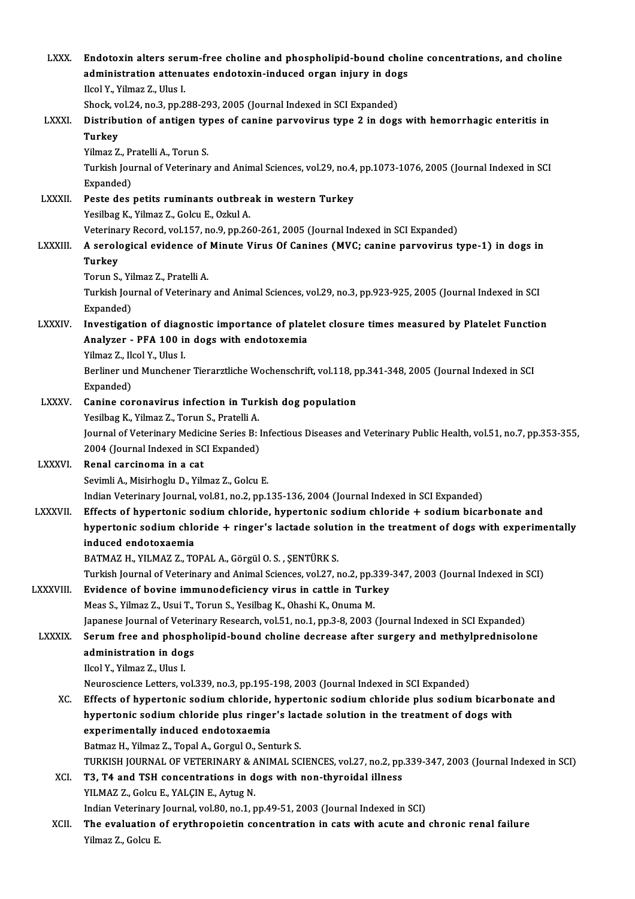| <b>LXXX</b>     | Endotoxin alters serum-free choline and phospholipid-bound choline concentrations, and choline<br>administration attenuates endotoxin-induced organ injury in dogs<br>Ilcol Y., Yilmaz Z., Ulus I. |
|-----------------|----------------------------------------------------------------------------------------------------------------------------------------------------------------------------------------------------|
|                 | Shock, vol.24, no.3, pp.288-293, 2005 (Journal Indexed in SCI Expanded)                                                                                                                            |
| <b>LXXXI</b>    | Distribution of antigen types of canine parvovirus type 2 in dogs with hemorrhagic enteritis in                                                                                                    |
|                 | <b>Turkey</b>                                                                                                                                                                                      |
|                 | Yilmaz Z., Pratelli A., Torun S.                                                                                                                                                                   |
|                 | Turkish Journal of Veterinary and Animal Sciences, vol.29, no.4, pp.1073-1076, 2005 (Journal Indexed in SCI<br>Expanded)                                                                           |
| <b>LXXXII</b>   | Peste des petits ruminants outbreak in western Turkey                                                                                                                                              |
|                 | Yesilbag K., Yilmaz Z., Golcu E., Ozkul A.                                                                                                                                                         |
|                 | Veterinary Record, vol.157, no.9, pp.260-261, 2005 (Journal Indexed in SCI Expanded)                                                                                                               |
| <b>LXXXIII.</b> | A serological evidence of Minute Virus Of Canines (MVC; canine parvovirus type-1) in dogs in<br><b>Turkey</b>                                                                                      |
|                 | Torun S., Yilmaz Z., Pratelli A.                                                                                                                                                                   |
|                 | Turkish Journal of Veterinary and Animal Sciences, vol.29, no.3, pp.923-925, 2005 (Journal Indexed in SCI<br>Expanded)                                                                             |
| <b>LXXXIV</b>   | Investigation of diagnostic importance of platelet closure times measured by Platelet Function<br>Analyzer - PFA 100 in dogs with endotoxemia<br>Yilmaz Z., Ilcol Y., Ulus I.                      |
|                 | Berliner und Munchener Tierarztliche Wochenschrift, vol.118, pp.341-348, 2005 (Journal Indexed in SCI                                                                                              |
|                 | Expanded)                                                                                                                                                                                          |
| <b>LXXXV</b>    | Canine coronavirus infection in Turkish dog population                                                                                                                                             |
|                 | Yesilbag K., Yilmaz Z., Torun S., Pratelli A.                                                                                                                                                      |
|                 | Journal of Veterinary Medicine Series B: Infectious Diseases and Veterinary Public Health, vol.51, no.7, pp.353-355,                                                                               |
|                 | 2004 (Journal Indexed in SCI Expanded)                                                                                                                                                             |
| <b>LXXXVI</b>   | Renal carcinoma in a cat                                                                                                                                                                           |
|                 | Sevimli A., Misirhoglu D., Yilmaz Z., Golcu E.                                                                                                                                                     |
|                 | Indian Veterinary Journal, vol.81, no.2, pp.135-136, 2004 (Journal Indexed in SCI Expanded)                                                                                                        |
| <b>LXXXVII</b>  | Effects of hypertonic sodium chloride, hypertonic sodium chloride + sodium bicarbonate and<br>hypertonic sodium chloride + ringer's lactade solution in the treatment of dogs with experimentally  |
|                 | induced endotoxaemia<br>BATMAZ H., YILMAZ Z., TOPAL A., Görgül O. S., ŞENTÜRK S.                                                                                                                   |
|                 | Turkish Journal of Veterinary and Animal Sciences, vol.27, no.2, pp.339-347, 2003 (Journal Indexed in SCI)                                                                                         |
| LXXXVIII.       | Evidence of bovine immunodeficiency virus in cattle in Turkey                                                                                                                                      |
|                 | Meas S., Yilmaz Z., Usui T., Torun S., Yesilbag K., Ohashi K., Onuma M.                                                                                                                            |
|                 | Japanese Journal of Veterinary Research, vol.51, no.1, pp.3-8, 2003 (Journal Indexed in SCI Expanded)                                                                                              |
| <b>LXXXIX.</b>  | Serum free and phospholipid-bound choline decrease after surgery and methylprednisolone                                                                                                            |
|                 | administration in dogs                                                                                                                                                                             |
|                 | Ilcol Y., Yilmaz Z., Ulus I.                                                                                                                                                                       |
|                 | Neuroscience Letters, vol.339, no.3, pp.195-198, 2003 (Journal Indexed in SCI Expanded)                                                                                                            |
| XC.             | Effects of hypertonic sodium chloride, hypertonic sodium chloride plus sodium bicarbonate and                                                                                                      |
|                 | hypertonic sodium chloride plus ringer's lactade solution in the treatment of dogs with                                                                                                            |
|                 | experimentally induced endotoxaemia                                                                                                                                                                |
|                 | Batmaz H., Yilmaz Z., Topal A., Gorgul O., Senturk S.                                                                                                                                              |
|                 | TURKISH JOURNAL OF VETERINARY & ANIMAL SCIENCES, vol.27, no.2, pp.339-347, 2003 (Journal Indexed in SCI)                                                                                           |
| XCI.            | T3, T4 and TSH concentrations in dogs with non-thyroidal illness                                                                                                                                   |
|                 | YILMAZ Z., Golcu E., YALÇIN E., Aytug N.                                                                                                                                                           |
|                 | Indian Veterinary Journal, vol.80, no.1, pp.49-51, 2003 (Journal Indexed in SCI)                                                                                                                   |
| XCII.           | The evaluation of erythropoietin concentration in cats with acute and chronic renal failure                                                                                                        |
|                 | Yilmaz Z, Golcu E                                                                                                                                                                                  |
|                 |                                                                                                                                                                                                    |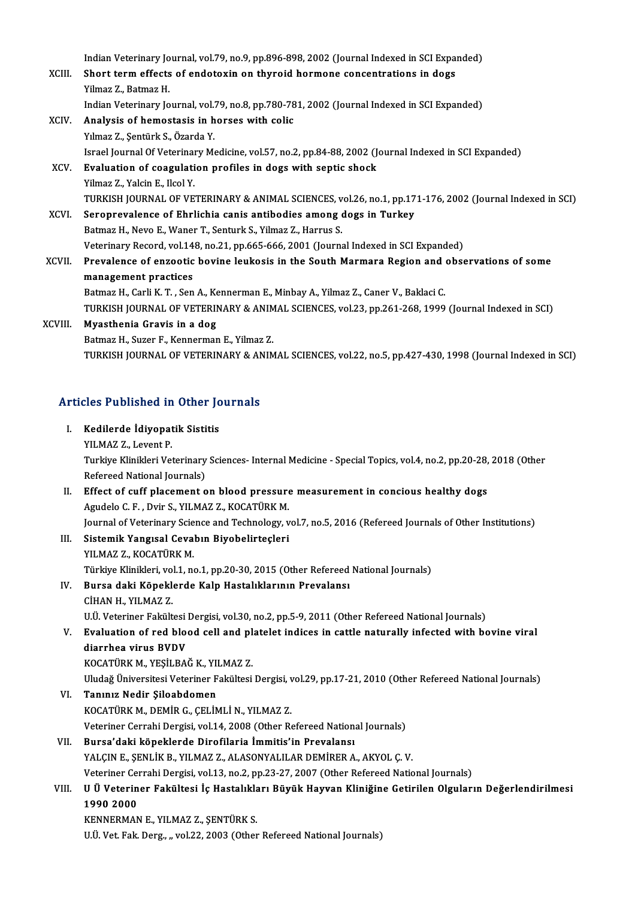Indian Veterinary Journal, vol.79, no.9, pp.896-898, 2002 (Journal Indexed in SCI Expanded)<br>Shart term effects of andetavin an thuraid harmane sensentrations in dags

|         | Indian Veterinary Journal, vol.79, no.9, pp.896-898, 2002 (Journal Indexed in SCI Expanded)              |
|---------|----------------------------------------------------------------------------------------------------------|
| XCIII.  | Short term effects of endotoxin on thyroid hormone concentrations in dogs                                |
|         | Yilmaz Z., Batmaz H.                                                                                     |
|         | Indian Veterinary Journal, vol.79, no.8, pp.780-781, 2002 (Journal Indexed in SCI Expanded)              |
| XCIV.   | Analysis of hemostasis in horses with colic                                                              |
|         | Yılmaz Z., Şentürk S., Özarda Y.                                                                         |
|         | Israel Journal Of Veterinary Medicine, vol.57, no.2, pp.84-88, 2002 (Journal Indexed in SCI Expanded)    |
| XCV.    | Evaluation of coagulation profiles in dogs with septic shock                                             |
|         | Yilmaz Z., Yalcin E., Ilcol Y.                                                                           |
|         | TURKISH JOURNAL OF VETERINARY & ANIMAL SCIENCES, vol.26, no.1, pp.171-176, 2002 (Journal Indexed in SCI) |
| XCVI.   | Seroprevalence of Ehrlichia canis antibodies among dogs in Turkey                                        |
|         | Batmaz H., Nevo E., Waner T., Senturk S., Yilmaz Z., Harrus S.                                           |
|         | Veterinary Record, vol.148, no.21, pp.665-666, 2001 (Journal Indexed in SCI Expanded)                    |
| XCVII.  | Prevalence of enzootic bovine leukosis in the South Marmara Region and observations of some              |
|         | management practices                                                                                     |
|         | Batmaz H., Carli K. T., Sen A., Kennerman E., Minbay A., Yilmaz Z., Caner V., Baklaci C.                 |
|         | TURKISH JOURNAL OF VETERINARY & ANIMAL SCIENCES, vol.23, pp.261-268, 1999 (Journal Indexed in SCI)       |
| XCVIII. | Myasthenia Gravis in a dog                                                                               |
|         | Batmaz H., Suzer F., Kennerman E., Yilmaz Z.                                                             |
|         | TURKISH JOURNAL OF VETERINARY & ANIMAL SCIENCES, vol.22, no.5, pp.427-430, 1998 (Journal Indexed in SCI) |
|         |                                                                                                          |

# Articles Published in Other Journals rticles Published in Other Jo<br>I. Kedilerde İdiyopatik Sistitis<br>XII.MAZZ Lavant B

| L.    | Kedilerde İdiyopatik Sistitis                                                                                  |
|-------|----------------------------------------------------------------------------------------------------------------|
|       | YILMAZ Z, Levent P                                                                                             |
|       | Turkiye Klinikleri Veterinary Sciences- Internal Medicine - Special Topics, vol.4, no.2, pp.20-28, 2018 (Other |
|       | Refereed National Journals)                                                                                    |
| П.    | Effect of cuff placement on blood pressure measurement in concious healthy dogs                                |
|       | Agudelo C. F., Dvir S., YILMAZ Z., KOCATÜRK M.                                                                 |
|       | Journal of Veterinary Science and Technology, vol.7, no.5, 2016 (Refereed Journals of Other Institutions)      |
| III.  | Sistemik Yangısal Cevabın Biyobelirteçleri                                                                     |
|       | YILMAZ Z., KOCATÜRK M.                                                                                         |
|       | Türkiye Klinikleri, vol.1, no.1, pp.20-30, 2015 (Other Refereed National Journals)                             |
| IV.   | Bursa daki Köpeklerde Kalp Hastalıklarının Prevalansı                                                          |
|       | CİHAN H., YILMAZ Z.                                                                                            |
|       | U.Ü. Veteriner Fakültesi Dergisi, vol.30, no.2, pp.5-9, 2011 (Other Refereed National Journals)                |
| V.    | Evaluation of red blood cell and platelet indices in cattle naturally infected with bovine viral               |
|       | diarrhea virus BVDV                                                                                            |
|       | KOCATÜRK M., YEŞİLBAĞ K., YILMAZ Z.                                                                            |
|       | Uludağ Üniversitesi Veteriner Fakültesi Dergisi, vol.29, pp.17-21, 2010 (Other Refereed National Journals)     |
| VI.   | Tanınız Nedir Şiloabdomen                                                                                      |
|       | KOCATÜRK M., DEMİR G., ÇELİMLİ N., YILMAZ Z.                                                                   |
|       | Veteriner Cerrahi Dergisi, vol.14, 2008 (Other Refereed National Journals)                                     |
| VII.  | Bursa'daki köpeklerde Dirofilaria İmmitis'in Prevalansı                                                        |
|       | YALÇIN E., ŞENLİK B., YILMAZ Z., ALASONYALILAR DEMİRER A., AKYOL Ç. V.                                         |
|       | Veteriner Cerrahi Dergisi, vol.13, no.2, pp.23-27, 2007 (Other Refereed National Journals)                     |
| VIII. | U Ü Veteriner Fakültesi İç Hastalıkları Büyük Hayvan Kliniğine Getirilen Olguların Değerlendirilmesi           |
|       | 1990 2000                                                                                                      |
|       | KENNERMAN E., YILMAZ Z., ŞENTÜRK S.                                                                            |
|       | U.Ü. Vet. Fak. Derg., " vol.22, 2003 (Other Refereed National Journals)                                        |
|       |                                                                                                                |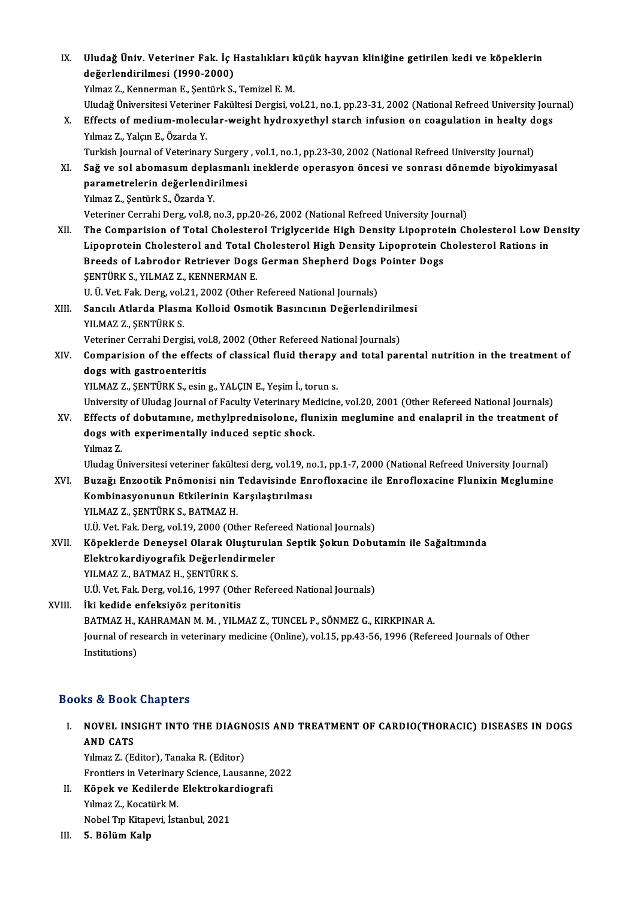IX. Uludağ Üniv. Veteriner Fak. İç Hastalıkları küçük hayvan kliniğine getirilen kedi ve köpeklerin Uludağ Üniv. Veteriner Fak. İç I<br>değerlendirilmesi (1990-2000)<br><sup>Vilmes 7.</sup> Kennerman E. Sentürk S Uludağ Üniv. Veteriner Fak. İç Hastalıkları k<br>değerlendirilmesi (1990-2000)<br>Yılmaz Z., Kennerman E., Şentürk S., Temizel E. M.<br>Uludağ Üniversitesi Veteriner Fekültesi Dersisi ve değerlendirilmesi (1990-2000)<br>Yılmaz Z., Kennerman E., Şentürk S., Temizel E. M.<br>Uludağ Üniversitesi Veteriner Fakültesi Dergisi, vol.21, no.1, pp.23-31, 2002 (National Refreed University Journal)<br>Effecte of modium mologul

Yılmaz Z., Kennerman E., Şentürk S., Temizel E. M.<br>Uludağ Üniversitesi Veteriner Fakültesi Dergisi, vol.21, no.1, pp.23-31, 2002 (National Refreed University Jour<br>X. Effects of medium-molecular-weight hydroxyethyl starch i Uludağ Üniversitesi Veteriner<br>Effects of medium-molecu<br>Yılmaz Z., Yalçın E., Özarda Y.<br>Turkish Journal of Veterinarı Effects of medium-molecular-weight hydroxyethyl starch infusion on coagulation in healty d<br>Yılmaz Z., Yalçın E., Özarda Y.<br>Turkish Journal of Veterinary Surgery , vol.1, no.1, pp.23-30, 2002 (National Refreed University Jo

Turkish Journal of Veterinary Surgery, vol.1, no.1, pp.23-30, 2002 (National Refreed University Journal)

Yılmaz Z., Yalçın E., Özarda Y.<br>Turkish Journal of Veterinary Surgery , vol.1, no.1, pp.23-30, 2002 (National Refreed University Journal)<br>XI. Sağ ve sol abomasum deplasmanlı ineklerde operasyon öncesi ve sonrası dönemde bi

Yılmaz Z., Şentürk S., Özarda Y.

Veteriner Cerrahi Derg, vol.8, no.3, pp.20-26, 2002 (National Refreed University Journal)

Yılmaz Z., Şentürk S., Özarda Y.<br>Veteriner Cerrahi Derg, vol.8, no.3, pp.20-26, 2002 (National Refreed University Journal)<br>XII. The Comparision of Total Cholesterol Triglyceride High Density Lipoprotein Cholesterol Low Veteriner Cerrahi Derg, vol.8, no.3, pp.20-26, 2002 (National Refreed University Journal)<br>The Comparision of Total Cholesterol Triglyceride High Density Lipoprotein Cholesterol Low De<br>Lipoprotein Cholesterol and Total Chol The Comparision of Total Cholesterol Triglyceride High Density Lipoprote<br>Lipoprotein Cholesterol and Total Cholesterol High Density Lipoprotein C<br>Breeds of Labrodor Retriever Dogs German Shepherd Dogs Pointer Dogs<br>SENTÜRK Lipoprotein Cholesterol and Total C<br>Breeds of Labrodor Retriever Dogs<br>ŞENTÜRK S., YILMAZ Z., KENNERMAN E.<br>U. Ü. Vet Fek Ders vel 21, 2002 (Otber l Breeds of Labrodor Retriever Dogs German Shepherd Dogs<br>ŞENTÜRK S., YILMAZ Z., KENNERMAN E.<br>U. Ü. Vet. Fak. Derg, vol.21, 2002 (Other Refereed National Journals)<br>Sangul, Atlanda Plasma Kollaid Osmatik Basıngının Dağarland

U. Ü. Vet. Fak. Derg, vol.21, 2002 (Other Refereed National Journals)

# SENTÜRK S., YILMAZ Z., KENNERMAN E.<br>U. Ü. Vet. Fak. Derg, vol.21, 2002 (Other Refereed National Journals)<br>XIII. Sancılı Atlarda Plasma Kolloid Osmotik Basıncının Değerlendirilmesi<br>YILMAZ Z., SENTÜRK S. Veteriner Cerrahi Dergisi, vol.8, 2002 (Other Refereed National Journals)

YILMAZ Z., ŞENTÜRK S.<br>Veteriner Cerrahi Dergisi, vol.8, 2002 (Other Refereed National Journals)<br>XIV. Comparision of the effects of classical fluid therapy and total parental nutrition in the treatment of Veteriner Cerrahi Dergisi, vo<br>Comparision of the effect<br>dogs with gastroenteritis<br>VII MAZZ SENTÜPK S. esin Comparision of the effects of classical fluid therapy<br>dogs with gastroenteritis<br>YILMAZ Z., ŞENTÜRK S., esing., YALÇIN E., Yeşim İ., toruns.<br>University of Uludas Journal of Fasulty Veterinary Medising dogs with gastroenteritis<br>YILMAZ Z., ŞENTÜRK S., esin g., YALÇIN E., Yeşim İ., torun s.<br>University of Uludag Journal of Faculty Veterinary Medicine, vol.20, 2001 (Other Refereed National Journals)<br>Effects of dobutamune, me

YILMAZ Z., ŞENTÜRK S., esin g., YALÇIN E., Yeşim İ., torun s.<br>University of Uludag Journal of Faculty Veterinary Medicine, vol.20, 2001 (Other Refereed National Journals)<br>XV. Effects of dobutamıne, methylprednisolone, flun University of Uludag Journal of Faculty Veterinary Me<br>Effects of dobutamine, methylprednisolone, flui<br>dogs with experimentally induced septic shock.<br>Vilmaz 7 Effects<br>dogs wit<br>Yılmaz Z.<br>Uludag Ü dogs with experimentally induced septic shock.<br>Yılmaz Z.<br>Uludag Üniversitesi veteriner fakültesi derg, vol.19, no.1, pp.1-7, 2000 (National Refreed University Journal)

Yılmaz Z.<br>Uludag Üniversitesi veteriner fakültesi derg, vol.19, no.1, pp.1-7, 2000 (National Refreed University Journal)<br>XVI. Buzağı Enzootik Pnömonisi nin Tedavisinde Enrofloxacine ile Enrofloxacine Flunixin Meglumine Uludag Üniversitesi veteriner fakültesi derg, vol.19, no<br>Buzağı Enzootik Pnömonisi nin Tedavisinde En:<br>Kombinasyonunun Etkilerinin Karşılaştırılması<br>VII MAZ Z. SENTÜRK S. RATMAZ H Kombinasyonunun Etkilerinin Karşılaştırılması<br>YILMAZ Z., ŞENTÜRK S., BATMAZ H. U.Ü. Vet. Fak. Derg, vol.19, 2000 (Other Refereed National Journals) YILMAZ Z., ŞENTÜRK S., BATMAZ H.<br>U.Ü. Vet. Fak. Derg, vol.19, 2000 (Other Refereed National Journals)<br>XVII. Köpeklerde Deneysel Olarak Oluşturulan Septik Şokun Dobutamin ile Sağaltımında<br>Flaktrokardiyesrefik Değerlendi

U.Ü. Vet. Fak. Derg, vol.19, 2000 (Other Refer<br>Köpeklerde Deneysel Olarak Oluşturula<br>Elektrokardiyografik Değerlendirmeler<br>VILMAZZ- PATMAZH-SENTÜRKS Köpeklerde Deneysel Olarak Olu<br>Elektrokardiyografik Değerlend<br>YILMAZ Z., BATMAZ H., ŞENTÜRK S.<br>HÜ Vet Fek Ders vel16 1997 (Ot Elektrokardiyografik Değerlendirmeler<br>YILMAZ Z., BATMAZ H., ŞENTÜRK S.<br>U.Ü. Vet. Fak. Derg, vol.16, 1997 (Other Refereed National Journals)

### XVIII. İki kedide enfeksiyöz peritonitis U.Ü. Vet. Fak. Derg, vol.16, 1997 (Other Refereed National Journals)<br>İki kedide enfeksiyöz peritonitis<br>BATMAZ H., KAHRAMAN M. M. , YILMAZ Z., TUNCEL P., SÖNMEZ G., KIRKPINAR A.<br>Journal of researsh in veterinary medicine (O Journal of research in veterinary medicine (Online), vol.15, pp.43-56, 1996 (Refereed Journals of Other Institutions) BATMAZ H., l<br>Journal of re<br>Institutions)

### Books&Book Chapters

OOks & Book Chapters<br>I. NOVEL INSIGHT INTO THE DIAGNOSIS AND TREATMENT OF CARDIO(THORACIC) DISEASES IN DOGS<br>AND CATS NOVEL INS<br>AND CATS<br>Vilmer 7 (E) **NOVEL INSIGHT INTO THE DIAGN<br>AND CATS<br>Yılmaz Z. (Editor), Tanaka R. (Editor)<br>Enontions in Veterinoru Scionse, Lauss** 

AND CATS<br>Yılmaz Z. (Editor), Tanaka R. (Editor)<br>Frontiers in Veterinary Science, Lausanne, 2022<br>Könek ve Kedilende Elektrekendiesnefi Yılmaz Z. (Editor), Tanaka R. (Editor)<br>Frontiers in Veterinary Science, Lausanne, 2<br>II. Köpek ve Kedilerde Elektrokardiografi<br>Vilmaz Z. Kosatürk M.

Frontiers in Veterinar<br>**Köpek ve Kedilerde**<br>Yılmaz Z., Kocatürk M.<br><sup>Mobel T.n Kitonevi, İst</sup> K<mark>öpek ve Kedilerde Elektrokar</mark><br>Yılmaz Z., Kocatürk M.<br>Nobel Tıp Kitapevi, İstanbul, 2021<br>E. Bölüm Kelp Yılmaz Z., Kocatürk M.<br>Nobel Tıp Kitapevi, İstanbul, 2021<br>III. 5. Bölüm Kalp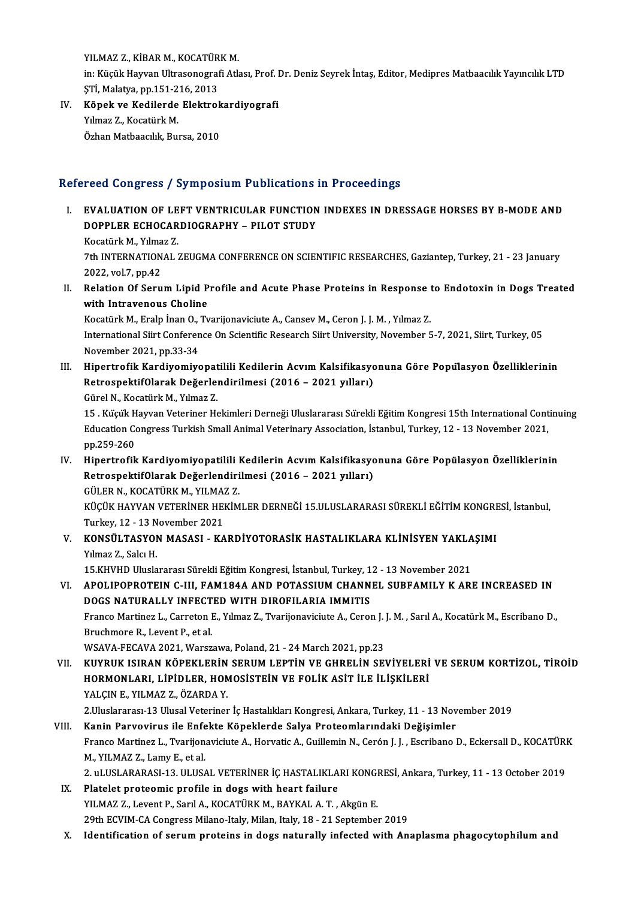YILMAZ Z., KİBAR M., KOCATÜRK M.<br>İni Küsük Hayyan Ultrasanasınd<sup>6</sup>i Atl in: Küçük Hayvan Ultrasonografi Atlası, Prof. Dr. Deniz Seyrek İntaş, Editor, Medipres Matbaacılık Yayıncılık LTD<br>STİ, Malatya, pp.151-216, 2013 YILMAZ Z., KİBAR M., KOCATÜR<br>in: Küçük Hayvan Ultrasonograf<br>ŞTİ, Malatya, pp.151-216, 2013<br>Könek ve Kadilerde Elektral in: Küçük Hayvan Ultrasonografi Atlası, Prof. I<br>ŞTİ, Malatya, pp.151-216, 2013<br>IV. Köpek ve Kedilerde Elektrokardiyografi<br>Vilmar 7. Kosatürk M

ŞTİ, Malatya, pp.151-2<br><mark>Köpek ve Kedilerde</mark><br>Yılmaz Z., Kocatürk M.<br>Özban Matbaasılık Buı Köpek ve Kedilerde Elektrok<br>Yılmaz Z., Kocatürk M.<br>Özhan Matbaacılık, Bursa, 2010

# Özhan Matbaacılık, Bursa, 2010<br>Refereed Congress / Symposium Publications in Proceedings

efereed Congress / Symposium Publications in Proceedings<br>I. EVALUATION OF LEFT VENTRICULAR FUNCTION INDEXES IN DRESSAGE HORSES BY B-MODE AND<br>ROPELER ECHOCARDIOCRAPHY - BU OT STUDY TOOR OORGTOOP TOJ INPODIAM TABROARDION<br>EVALUATION OF LEFT VENTRICULAR FUNCTION<br>DOPPLER ECHOCARDIOGRAPHY – PILOT STUDY EVALUATION OF LE<br>DOPPLER ECHOCAR<br>Kocatürk M., Yılmaz Z.<br>7th INTERNATIONAL 7

DOPPLER ECHOCARDIOGRAPHY – PILOT STUDY<br>Kocatürk M., Yılmaz Z.<br>7th INTERNATIONAL ZEUGMA CONFERENCE ON SCIENTIFIC RESEARCHES, Gaziantep, Turkey, 21 - 23 January<br>2022 -val.7, pp.42 Kocatürk M., Yılma<br>7th INTERNATION<br>2022, vol.7, pp.42<br>Relation Of Serv Th INTERNATIONAL ZEUGMA CONFERENCE ON SCIENTIFIC RESEARCHES, Gaziantep, Turkey, 21 - 23 January<br>2022, vol.7, pp.42<br>II. Relation Of Serum Lipid Profile and Acute Phase Proteins in Response to Endotoxin in Dogs Treated<br>with

2022, vol.7, pp.42<br>Relation Of Serum Lipid P<br>with Intravenous Choline<br>Kosatürk M. Eraln Inan O. Tu Relation Of Serum Lipid Profile and Acute Phase Proteins in Response<br>with Intravenous Choline<br>Kocatürk M., Eralp İnan O., Tvarijonaviciute A., Cansev M., Ceron J. J. M. , Yılmaz Z.<br>International Siint Conference On Scienti

with Intravenous Choline<br>Kocatürk M., Eralp İnan O., Tvarijonaviciute A., Cansev M., Ceron J. J. M. , Yılmaz Z.<br>International Siirt Conference On Scientific Research Siirt University, November 5-7, 2021, Siirt, Turkey, 05<br> Kocatürk M., Eralp İnan O.,<br>International Siirt Conferen<br>November 2021, pp.33-34<br>Hinertrofik Kardiyemiye International Siirt Conference On Scientific Research Siirt University, November 5-7, 2021, Siirt, Turkey, 05<br>November 2021, pp.33-34<br>III. Hipertrofik Kardiyomiyopatilili Kedilerin Acvım Kalsifikasyonuna Göre Popülasyon Öz

November 2021, pp.33-34<br>Hipertrofik Kardiyomiyopatilili Kedilerin Acvım Kalsifikasyo<br>RetrospektifOlarak Değerlendirilmesi (2016 – 2021 yılları)<br>Gürel N. Keçetürk M. Yılmaz 7 Hipertrofik Kardiyomiyopat<br>RetrospektifOlarak Değerlen<br>Gürel N., Kocatürk M., Yılmaz Z.<br>15. Kücük Hayyan Veteriner He

RetrospektifOlarak Değerlendirilmesi (2016 – 2021 yılları)<br>Gürel N., Kocatürk M., Yılmaz Z.<br>15 . Küçük Hayvan Veteriner Hekimleri Derneği Uluslararası Sürekli Eğitim Kongresi 15th International Continuing<br>Education Congres Gürel N., Kocatürk M., Yılmaz Z.<br>15 . Küçük Hayvan Veteriner Hekimleri Derneği Uluslararası Sürekli Eğitim Kongresi 15th International Cont<br>Education Congress Turkish Small Animal Veterinary Association, İstanbul, Turkey, 15 . Küçük H<br>Education Co<br>pp.259-260<br>Hinertrefik Education Congress Turkish Small Animal Veterinary Association, İstanbul, Turkey, 12 - 13 November 2021,<br>pp.259-260<br>IV. Hipertrofik Kardiyomiyopatilili Kedilerin Acvım Kalsifikasyonuna Göre Popülasyon Özelliklerinin<br>Petres

pp.259-260<br>Hipertrofik Kardiyomiyopatilili Kedilerin Acvım Kalsifikasyo<br>RetrospektifOlarak Değerlendirilmesi (2016 – 2021 yılları)<br>CÜLER N. KOCATÜRK M. YU MAZ 7 Hipertrofik Kardiyomiyopatilili l<br>RetrospektifOlarak Değerlendiri<br>GÜLER N., KOCATÜRK M., YILMAZ Z.<br>VÜCÜV HAYVAN VETERİNER HEVİM RetrospektifOlarak Değerlendirilmesi (2016 – 2021 yılları)<br>GÜLER N., KOCATÜRK M., YILMAZ Z.<br>KÜÇÜK HAYVAN VETERİNER HEKİMLER DERNEĞİ 15.ULUSLARARASI SÜREKLİ EĞİTİM KONGRESİ, İstanbul,<br>Turkay 12, 13 November 2021 GÜLER N., KOCATÜRK M., YILMAZ<br>KÜÇÜK HAYVAN VETERİNER HEI<br>Turkey, 12 - 13 November 2021<br>KONSÜL TASYON MASASI - KA

KÜÇÜK HAYVAN VETERİNER HEKİMLER DERNEĞİ 15.ULUSLARARASI SÜREKLİ EĞİTİM KONGRE<br>Turkey, 12 - 13 November 2021<br>V. KONSÜLTASYON MASASI - KARDİYOTORASİK HASTALIKLARA KLİNİSYEN YAKLAŞIMI<br>V. Yumaz 7 - Salay H Turkey, 12 - 13 N<br>KONSÜLTASYOI<br>Yılmaz Z., Salcı H.<br>15 Yuvun Uluele KONSÜLTASYON MASASI - KARDİYOTORASİK HASTALIKLARA KLİNİSYEN YAKLA<br>Yılmaz Z., Salcı H.<br>15.KHVHD Uluslararası Sürekli Eğitim Kongresi, İstanbul, Turkey, 12 - 13 November 2021<br>AROLIPORROTEIN G.UL EAM184A AND ROTASSUM GHANNEL Yılmaz Z., Salcı H.<br>15.KHVHD Uluslararası Sürekli Eğitim Kongresi, İstanbul, Turkey, 12 - 13 November 2021<br>VI. APOLIPOPROTEIN C-III, FAM184A AND POTASSIUM CHANNEL SUBFAMILY K ARE INCREASED IN

15.KHVHD Uluslararası Sürekli Eğitim Kongresi, İstanbul, Turkey, 1<br>APOLIPOPROTEIN C-III, FAM184A AND POTASSIUM CHANN<br>DOGS NATURALLY INFECTED WITH DIROFILARIA IMMITIS<br>France Martinez L. Carraton E. Yılmaz 7. Tyarijonaviciyt

Franco Martinez L., Carreton E., Yılmaz Z., Tvarijonaviciute A., Ceron J. J. M. , Sarıl A., Kocatürk M., Escribano D., Bruchmore R., Levent P., et al. **DOGS NATURALLY INFECT**<br>Franco Martinez L., Carreton I<br>Bruchmore R., Levent P., et al.<br>WSAVA EECAVA 2021 WAREZ

WSAVA-FECAVA2021,Warszawa,Poland,21 -24March 2021,pp.23

Bruchmore R., Levent P., et al.<br>WSAVA-FECAVA 2021, Warszawa, Poland, 21 - 24 March 2021, pp.23<br>VII. KUYRUK ISIRAN KÖPEKLERİN SERUM LEPTİN VE GHRELİN SEVİYELERİ VE SERUM KORTİZOL, TİROİD<br>HOPMONI ARL LİRİDI ER, HOMOSİSTE WSAVA-FECAVA 2021, Warszawa, Poland, 21 - 24 March 2021, pp.23<br>KUYRUK ISIRAN KÖPEKLERİN SERUM LEPTİN VE GHRELİN SEVİYELERİ<br>HORMONLARI, LİPİDLER, HOMOSİSTEİN VE FOLİK ASİT İLE İLİŞKİLERİ<br>YALCINE, YU MAZ Z. ÖZAPDA V HORMONLARI, LİPİDLER, HOMOSİSTEİN VE FOLİK ASİT İLE İLİŞKİLERİ YALÇINE., YILMAZ Z., ÖZARDA Y.

2.Uluslararası-13UlusalVeteriner İçHastalıklarıKongresi,Ankara,Turkey,11 -13November 2019

- VIII. Kanin Parvovirus ile Enfekte Köpeklerde Salya Proteomlarındaki Değişimler 2.Uluslararası-13 Ulusal Veteriner İç Hastalıkları Kongresi, Ankara, Turkey, 11 - 13 November 2019<br>**Kanin Parvovirus ile Enfekte Köpeklerde Salya Proteomlarındaki Değişimler**<br>Franco Martinez L., Tvarijonaviciute A., Horvat M., YILMAZ Z., Lamy E., et al.<br>2. uLUSLARARASI-13. ULUSAL VETERİNER İÇ HASTALIKLARI KONGRESİ, Ankara, Turkey, 11 - 13 October 2019 Franco Martinez L., Tvarijonaviciute A., Horvatic A., Guillemin N., Cerón J. J. , Escribano D., Eckersall D., KOCATÜRI<br>M., YILMAZ Z., Lamy E., et al.<br>2. uLUSLARARASI-13. ULUSAL VETERİNER İÇ HASTALIKLARI KONGRESİ, Ankara, T
	- IX. Platelet proteomic profile in dogs with heart failure
	- YILMAZ Z., Levent P., Sarıl A., KOCATÜRK M., BAYKAL A.T., Akgün E. 29th ECVIM-CA Congress Milano-Italy, Milan, Italy, 18 - 21 September 2019
	- X. Identification of serum proteins in dogs naturally infected with Anaplasma phagocytophilum and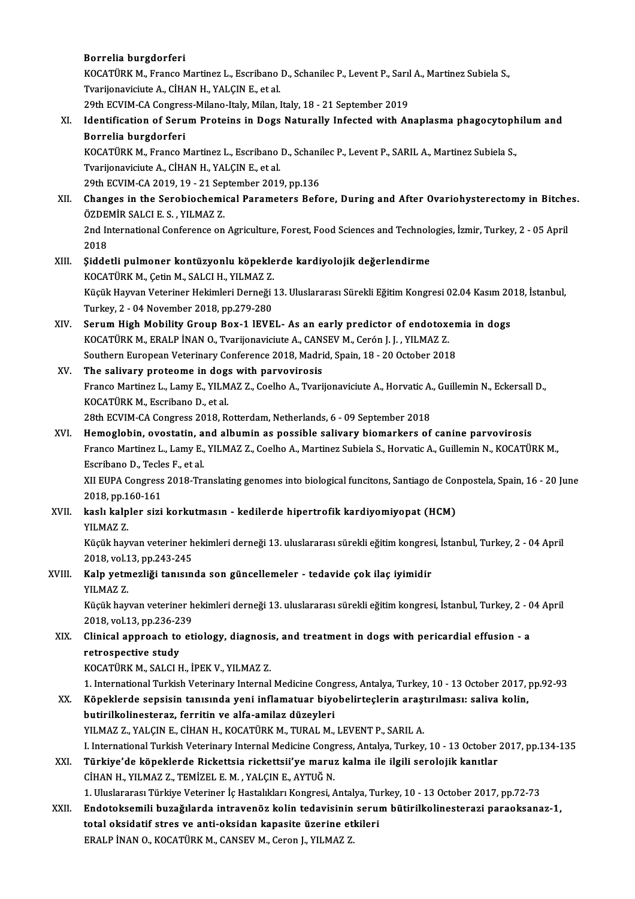### Borrelia burgdorferi

Borrelia burgdorferi<br>KOCATÜRK M., Franco Martinez L., Escribano D., Schanilec P., Levent P., Sarıl A., Martinez Subiela S.,<br>Tyarijanavisiyta A. CİHAN H. VALCIN E. et al. Borrelia burgdorferi<br>KOCATÜRK M., Franco Martinez L., Escribano<br>Tvarijonaviciute A., CİHAN H., YALÇIN E., et al.<br>20th ECVIM CA Congress Milane Italy Milan I KOCATÜRK M., Franco Martinez L., Escribano D., Schanilec P., Levent P., Sarıl<br>Tvarijonaviciute A., CİHAN H., YALÇIN E., et al.<br>29th ECVIM-CA Congress-Milano-Italy, Milan, Italy, 18 - 21 September 2019<br>Identification of Sen 29th ECVIM-CA Congress-Milano-Italy, Milan, Italy, 18 - 21 September 2019

# Tvarijonaviciute A., CİHAN H., YALÇIN E., et al.<br>29th ECVIM-CA Congress-Milano-Italy, Milan, Italy, 18 - 21 September 2019<br>XI. Identification of Serum Proteins in Dogs Naturally Infected with Anaplasma phagocytophilum and<br> Identification of Serum Proteins in Dogs Naturally Infected with Anaplasma phagocytoph<br>Borrelia burgdorferi<br>KOCATÜRK M., Franco Martinez L., Escribano D., Schanilec P., Levent P., SARIL A., Martinez Subiela S.,<br>Tyarlionavi

Borrelia burgdorferi<br>KOCATÜRK M., Franco Martinez L., Escribano<br>Tvarijonaviciute A., CİHAN H., YALÇIN E., et al.<br>20th ECVIM CA 2019 19 - 21 Sontamber 2019 KOCATÜRK M., Franco Martinez L., Escribano D., Schani<br>Tvarijonaviciute A., CİHAN H., YALÇIN E., et al.<br>29th ECVIM-CA 2019, 19 - 21 September 2019, pp.136<br>Changes in the Serebieshemisel Beremeters Befo

## Tvarijonaviciute A., CİHAN H., YALÇIN E., et al.<br>29th ECVIM-CA 2019, 19 - 21 September 2019, pp.136<br>XII. Changes in the Serobiochemical Parameters Before, During and After Ovariohysterectomy in Bitches.<br>ÖZDEMİR SALCLE 29th ECVIM-CA 2019, 19 - 21 Sep<br>Changes in the Serobiochemi<br>ÖZDEMİR SALCI E. S. , YILMAZ Z.<br>2nd International Conference on Changes in the Serobiochemical Parameters Before, During and After Ovariohysterectomy in Bitche<br>ÖZDEMİR SALCI E. S. , YILMAZ Z.<br>2nd International Conference on Agriculture, Forest, Food Sciences and Technologies, İzmir, Tu ÖZDEMİR SALCI E. S. , YILMAZ Z.<br>2nd International Conference on Agriculture, Forest, Food Sciences and Technologies, İzmir, Turkey, 2 - 05 April<br>2018

- 2nd International Conference on Agriculture, Forest, Food Sciences and Technolo<br>2018<br>XIII. Siddetli pulmoner kontüzyonlu köpeklerde kardiyolojik değerlendirme<br>2006 TÜRZM Cetin M SALCH VILMAZZ 2018<br>Şiddetli pulmoner kontüzyonlu köpekle<br>KOCATÜRK M., Çetin M., SALCI H., YILMAZ Z.<br>Küçük Hayyan Veteriner Hakimleri Derneği Küçük Hayvan Veteriner Hekimleri Derneği 13. Uluslararası Sürekli Eğitim Kongresi 02.04 Kasım 2018, İstanbul,<br>Turkey, 2 - 04 November 2018, pp.279-280 KOCATÜRK M., Çetin M., SALCI H., YILMAZ Z. Küçük Hayvan Veteriner Hekimleri Derneği 13. Uluslararası Sürekli Eğitim Kongresi 02.04 Kasım 20<br>Turkey, 2 - 04 November 2018, pp.279-280<br>XIV. Serum High Mobility Group Box-1 lEVEL- As an early predictor of endotoxemia in
- Turkey, 2 04 November 2018, pp.279-280<br>Serum High Mobility Group Box-1 IEVEL- As an early predictor of endotox<br>KOCATÜRK M., ERALP İNAN O., Tvarijonaviciute A., CANSEV M., Cerón J. J. , YILMAZ Z.<br>Seuthern European Veterin Serum High Mobility Group Box-1 lEVEL- As an early predictor of endotoxen<br>KOCATÜRK M., ERALP İNAN O., Tvarijonaviciute A., CANSEV M., Cerón J. J. , YILMAZ Z.<br>Southern European Veterinary Conference 2018, Madrid, Spain, 18 KOCATÜRK M., ERALP İNAN O., Tvarijonaviciute A., CANSEV M., Cerón J. J. , YILMAZ Z.<br>Southern European Veterinary Conference 2018, Madrid, Spain, 18 - 20 October 2018<br>XV. The salivary proteome in dogs with parvovirosis

### The salivary proteome in dogs with parvovirosis

Franco Martinez L., Lamy E., YILMAZ Z., Coelho A., Tvarijonaviciute A., Horvatic A., Guillemin N., Eckersall D.,<br>KOCATÜRK M., Escribano D., et al.

28th ECVIM-CA Congress 2018, Rotterdam, Netherlands, 6 - 09 September 2018

KOCATÜRK M., Escribano D., et al.<br>28th ECVIM-CA Congress 2018, Rotterdam, Netherlands, 6 - 09 September 2018<br>XVI. Hemoglobin, ovostatin, and albumin as possible salivary biomarkers of canine parvovirosis<br>France Martinez J. Franco Martinez L., Lamy E., YILMAZ Z., Coelho A., Martinez Subiela S., Horvatic A., Guillemin N., KOCATÜRK M.,<br>Escribano D.. Tecles F.. et al. Hemoglobin, ovostatin, a<br>Franco Martinez L., Lamy E.,<br>Escribano D., Tecles F., et al.<br>VILEUDA Congress 2019 Tre Franco Martinez L., Lamy E., YILMAZ Z., Coelho A., Martinez Subiela S., Horvatic A., Guillemin N., KOCATÜRK M.,<br>Escribano D., Tecles F., et al.<br>XII EUPA Congress 2018-Translating genomes into biological funcitons, Santiago

Escribano D., Tecle<br>XII EUPA Congress<br>2018, pp.160-161<br>kask kalpler sizi 2018, pp 160-161

## XVII. kaslı kalpler sizi korkutmasın - kedilerde hipertrofik kardiyomiyopat (HCM)<br>YILMAZ Z. kaslı kalpler sizi korkutmasın - kedilerde hipertrofik kardiyomiyopat (HCM)<br>YILMAZ Z.<br>Küçük hayvan veteriner hekimleri derneği 13. uluslararası sürekli eğitim kongresi, İstanbul, Turkey, 2 - 04 April<br>2018 yel 13 pp 343 345

YILMAZ Z.<br>Küçük hayvan veteriner h<br>2018, vol.13, pp.243-245<br>Keln vetmerliği tanısın Küçük hayvan veteriner hekimleri derneği 13. uluslararası sürekli eğitim kongres<br>2018, vol.13, pp.243-245<br>XVIII. Kalp yetmezliği tanısında son güncellemeler - tedavide çok ilaç iyimidir<br>VII.MAZ 7

## 2018, vol.1<br>Kalp yetm<br>YILMAZ Z.<br>Küçük bay Kalp yetmezliği tanısında son güncellemeler - tedavide çok ilaç iyimidir<br>YILMAZ Z.<br>Küçük hayvan veteriner hekimleri derneği 13. uluslararası sürekli eğitim kongresi, İstanbul, Turkey, 2 - 04 April

YILMAZ Z.<br>Küçük hayvan veteriner h<br>2018, vol.13, pp.236-239<br>Clinisal annraash ta et Küçük hayvan veteriner hekimleri derneği 13. uluslararası sürekli eğitim kongresi, İstanbul, Turkey, 2 - 0<br>2018, vol.13, pp.236-239<br>XIX. Clinical approach to etiology, diagnosis, and treatment in dogs with pericardial

## 2018, vol.13, pp.236-23<br>Clinical approach to<br>retrospective study<br>KOCATÜRK M. SALCLE Clinical approach to etiology, diagnosi:<br>retrospective study<br>KOCATÜRK M., SALCI H., İPEK V., YILMAZ Z.<br>1. International Turkish Veterinary Internal

retrospective study<br>1. International Turkish Veterinary Internal Medicine Congress, Antalya, Turkey, 10 - 13 October 2017, pp.92-93<br>1. International Turkish Veterinary Internal Medicine Congress, Antalya, Turkey, 10 - 13 O

- KOCATÜRK M., SALCI H., İPEK V., YILMAZ Z.<br>1. International Turkish Veterinary Internal Medicine Congress, Antalya, Turkey, 10 13 October 2017,<br>XX. Köpeklerde sepsisin tanısında yeni inflamatuar biyobelirteçlerin araş 1. International Turkish Veterinary Internal Medicine Cong<br>Köpeklerde sepsisin tanısında yeni inflamatuar biyo<br>butirilkolinesteraz, ferritin ve alfa-amilaz düzeyleri<br>VU MAZ Z. VALCIN E. CİHAN H. KOCATÜRK M. TURAL M Köpeklerde sepsisin tanısında yeni inflamatuar biyobelirteçlerin araşı<br>butirilkolinesteraz, ferritin ve alfa-amilaz düzeyleri<br>YILMAZ Z., YALÇIN E., CİHAN H., KOCATÜRK M., TURAL M., LEVENT P., SARIL A.<br>L. International Turk I. InternationalTurkishVeterinary InternalMedicineCongress,Antalya,Turkey,10 -13October 2017,pp.134-135 XXI. Türkiye'de köpeklerde Rickettsia rickettsii'ye maruz kalma ile ilgili serolojik kanıtlar CİHANH.,YILMAZ Z.,TEMİZEL E.M. ,YALÇINE.,AYTUĞN. Türkiye'de köpeklerde Rickettsia rickettsii'ye maruz kalma ile ilgili serolojik kanıtlar<br>CİHAN H., YILMAZ Z., TEMİZEL E. M. , YALÇIN E., AYTUĞ N.<br>1. Uluslararası Türkiye Veteriner İç Hastalıkları Kongresi, Antalya, Turkey,
	-
- CİHAN H., YILMAZ Z., TEMİZEL E. M. , YALÇIN E., AYTUĞ N.<br>1. Uluslararası Türkiye Veteriner İç Hastalıkları Kongresi, Antalya, Turkey, 10 13 October 2017, pp.72-73<br>1. XXII. Endotoksemili buzağılarda intravenöz kolin t 1. Uluslararası Türkiye Veteriner İç Hastalıkları Kongresi, Antalya, Tu<br>Endotoksemili buzağılarda intravenöz kolin tedavisinin serul<br>total oksidatif stres ve anti-oksidan kapasite üzerine etkileri<br>ERALP İNAN O. KOÇATÜRK M. Endotoksemili buzağılarda intravenöz kolin tedavisinin serum bütirilkolinesterazi paraoksanaz-1,<br>total oksidatif stres ve anti-oksidan kapasite üzerine etkileri<br>ERALP İNAN O., KOCATÜRK M., CANSEV M., Ceron J., YILMAZ Z.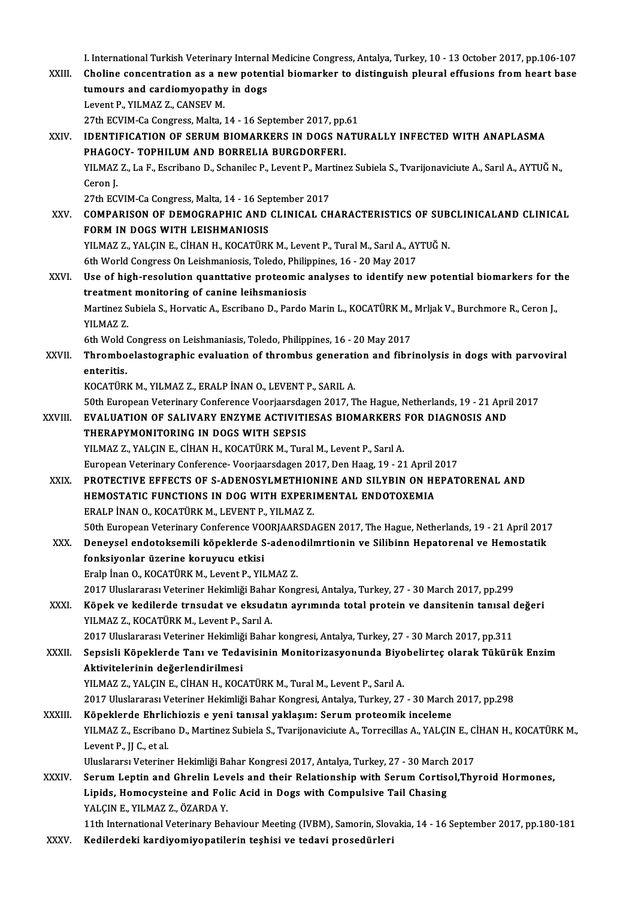- I. International Turkish Veterinary Internal Medicine Congress, Antalya, Turkey, 10 13 October 2017, pp.106-107<br>Chaline concentration as a new potential biomarker to distinguish played offusions from beart base. I. International Turkish Veterinary Internal Medicine Congress, Antalya, Turkey, 10 - 13 October 2017, pp.106-107<br>XXIII. Choline concentration as a new potential biomarker to distinguish pleural effusions from heart base I. International Turkish Veterinary Internal<br>Choline concentration as a new potent<br>tumours and cardiomyopathy in dogs<br>Lavont B, VILMAZZ, CANSEV M Choline concentration as a new potential biomarker to distinguish pleural effusions from heart base<br>tumours and cardiomyopathy in dogs<br>Levent P., YILMAZ Z., CANSEV M. tumours and cardiomyopathy in dogs<br>Levent P., YILMAZ Z., CANSEV M.<br>27th ECVIM-Ca Congress, Malta, 14 - 16 September 2017, pp.61<br>IDENTIEICATION OF SERIJM PIOMARKERS IN DOCS NATI Levent P., YILMAZ Z., CANSEV M.<br>27th ECVIM-Ca Congress, Malta, 14 - 16 September 2017, pp.61<br>XXIV. IDENTIFICATION OF SERUM BIOMARKERS IN DOGS NATURALLY INFECTED WITH ANAPLASMA<br>PHACOCY, TOBHILIUM AND BORRELIA RIIRCDORERNI 27th ECVIM-Ca Congress, Malta, 14 - 16 September 2017, pp.<br>IDENTIFICATION OF SERUM BIOMARKERS IN DOGS NA<br>PHAGOCY- TOPHILUM AND BORRELIA BURGDORFERI.<br>VILMAZZ, La E. Eccribano D. Schanilos B. Lovent B. Martine IDENTIFICATION OF SERUM BIOMARKERS IN DOGS NATURALLY INFECTED WITH ANAPLASMA<br>PHAGOCY- TOPHILUM AND BORRELIA BURGDORFERI.<br>YILMAZ Z., La F., Escribano D., Schanilec P., Levent P., Martinez Subiela S., Tvarijonaviciute A., Sa PHAGOCY- TOPHILUM AND BORRELIA BURGDORFERI.<br>YILMAZ Z., La F., Escribano D., Schanilec P., Levent P., Martinez Subiela S., Tvarijonaviciute A., Sarıl A., AYTUĞ N.,<br>Ceron I. YILMAZ Z., La F., Escribano D., Schanilec P., Levent P., Mar<br>Ceron J.<br>27th ECVIM-Ca Congress, Malta, 14 - 16 September 2017<br>COMBARISON OF DEMOCRARHIC AND CLINICAL CH XXV. COMPARISON OF DEMOGRAPHIC AND CLINICAL CHARACTERISTICS OF SUBCLINICALAND CLINICAL<br>FORM IN DOGS WITH LEISHMANIOSIS 27th ECVIM-Ca Congress, Malta, 14 - 16 Sep<br>COMPARISON OF DEMOGRAPHIC AND<br>FORM IN DOGS WITH LEISHMANIOSIS<br>VU MAZ Z. VALCIN E. CHAN H. KOCATÜPE YILMAZ Z., YALÇIN E., CİHAN H., KOCATÜRK M., Levent P., Tural M., Sarıl A., AYTUĞ N. FORM IN DOGS WITH LEISHMANIOSIS<br>YILMAZ Z., YALÇIN E., CİHAN H., KOCATÜRK M., Levent P., Tural M., Sarıl A., AY<br>6th World Congress On Leishmaniosis, Toledo, Philippines, 16 - 20 May 2017<br>Hae of high resolution quanttative p XXVI. Use of high-resolution quanttative proteomic analyses to identify new potential biomarkers for the treatment monitoring of canine leihsmaniosis 6th World Congress On Leishmaniosis, Toledo, Philip<br>Use of high-resolution quanttative proteomic<br>treatment monitoring of canine leihsmaniosis<br>Martines Subjele S. Howetia A. Feeribane D. Parde Use of high-resolution quanttative proteomic analyses to identify new potential biomarkers for t<br>treatment monitoring of canine leihsmaniosis<br>Martinez Subiela S., Horvatic A., Escribano D., Pardo Marin L., KOCATÜRK M., Mrl treatment<br>Martinez S<br>YILMAZ Z.<br>Eth Wold C Martinez Subiela S., Horvatic A., Escribano D., Pardo Marin L., KOCATÜRK M.,<br>YILMAZ Z.<br>6th Wold Congress on Leishmaniasis, Toledo, Philippines, 16 - 20 May 2017<br>Thromboclastographic qualuation of thrombus generation and fi YILMAZ Z.<br>6th Wold Congress on Leishmaniasis, Toledo, Philippines, 16 - 20 May 2017<br>XXVII. Thromboelastographic evaluation of thrombus generation and fibrinolysis in dogs with parvoviral 6th Wold<br>Thrombo<br>enteritis.<br>KOCATÜPI Thromboelastographic evaluation of thrombus generati<br>enteritis.<br>KOCATÜRK M., YILMAZ Z., ERALP İNAN O., LEVENT P., SARIL A.<br>50th European Veterinary Conference Veerisarsdagen 2017. T enteritis.<br>KOCATÜRK M., YILMAZ Z., ERALP İNAN O., LEVENT P., SARIL A.<br>50th European Veterinary Conference Voorjaarsdagen 2017, The Hague, Netherlands, 19 - 21 April 2017<br>EVALUATION OE SALIVARY ENZYME ACTIVITIESAS RIOMARKER KOCATÜRK M., YILMAZ Z., ERALP İNAN O., LEVENT P., SARIL A.<br>50th European Veterinary Conference Voorjaarsdagen 2017, The Hague, Netherlands, 19 - 21 Apri<br>XXVIII. EVALUATION OF SALIVARY ENZYME ACTIVITIESAS BIOMARKERS FOR DIA 50th European Veterinary Conference Voorjaarsdag<br>EVALUATION OF SALIVARY ENZYME ACTIVITI<br>THERAPYMONITORING IN DOGS WITH SEPSIS<br>VILMAZZ, VALCINE, CUANH, KOCATÜPK M. Ture EVALUATION OF SALIVARY ENZYME ACTIVITIESAS BIOMARKERS FOR DIAGNOSIS AND<br>THERAPYMONITORING IN DOGS WITH SEPSIS<br>YILMAZ Z., YALÇIN E., CİHAN H., KOCATÜRK M., Tural M., Levent P., Sarıl A. EuropeanVeterinaryConference-Voorjaarsdagen2017,DenHaag,19 -21April2017 XXIX. PROTECTIVE EFFECTS OF S-ADENOSYLMETHIONINE AND SILYBIN ON HEPATORENAL AND European Veterinary Conference- Voorjaarsdagen 2017, Den Haag, 19 - 21 April 2<br>PROTECTIVE EFFECTS OF S-ADENOSYLMETHIONINE AND SILYBIN ON HE<br>HEMOSTATIC FUNCTIONS IN DOG WITH EXPERIMENTAL ENDOTOXEMIA<br>ERALP INAN O-KOCATÜRK M-PROTECTIVE EFFECTS OF S-ADENOSYLMETHIOI<br>HEMOSTATIC FUNCTIONS IN DOG WITH EXPERI<br>ERALP İNAN O., KOCATÜRK M., LEVENT P., YILMAZ Z.<br>E<sup>0th European Veterinary Conference VOOBIAABSDA</sup> ERALP İNAN O., KOCATÜRK M., LEVENT P., YILMAZ Z.<br>50th European Veterinary Conference VOORJAARSDAGEN 2017, The Hague, Netherlands, 19 - 21 April 2017 ERALP İNAN O., KOCATÜRK M., LEVENT P., YILMAZ Z.<br>50th European Veterinary Conference VOORJAARSDAGEN 2017, The Hague, Netherlands, 19 - 21 April 2017<br>XXX. Deneysel endotoksemili köpeklerde S-adenodilmrtionin ve Silibinn Hep fonksiyonlar üzerine koruyucu etkisi Deneysel endotoksemili köpeklerde S-adeno<br>fonksiyonlar üzerine koruyucu etkisi<br>Eralp İnan O., KOCATÜRK M., Levent P., YILMAZ Z.<br>2017 Uluelarenes Veteriner Hekimliği Babar Kone fonksiyonlar üzerine koruyucu etkisi<br>Eralp İnan O., KOCATÜRK M., Levent P., YILMAZ Z.<br>2017 Uluslararası Veteriner Hekimliği Bahar Kongresi, Antalya, Turkey, 27 - 30 March 2017, pp.299<br>Könek ve kadilanda tupaydat ve akaydat XXXI. Köpek ve kedilerde trnsudat ve eksudatın ayrımında total protein ve dansitenin tanısal değeri 2017 Uluslararası Veteriner Hekimliği Bahaı<br>Köpek ve kedilerde trnsudat ve eksuda<br>YILMAZ Z., KOCATÜRK M., Levent P., Sarıl A.<br>2017 Uluslararası Veteriner Hekimliği Bahaı Köpek ve kedilerde trnsudat ve eksudatın ayrımında total protein ve dansitenin tanısal o<br>2017 Uluslararası Veteriner Hekimliği Bahar kongresi, Antalya, Turkey, 27 - 30 March 2017, pp.311<br>Sensisli Köneklerde Tanı ve Tedavis XXXII. Sepsisli Köpeklerde Tanı ve Tedavisinin Monitorizasyonunda Biyobelirteç olarak Tükürük Enzim<br>Aktivitelerinin değerlendirilmesi 2017 Uluslararası Veteriner Hekimliğ<br>Sepsisli Köpeklerde Tanı ve Teda<br>Aktivitelerinin değerlendirilmesi<br>VII MAZ Z. YALCIN E. CİHAN H. KOC YILMAZ Z., YALÇIN E., CİHAN H., KOCATÜRK M., Tural M., Levent P., Sarıl A. Aktivitelerinin değerlendirilmesi<br>YILMAZ Z., YALÇIN E., CİHAN H., KOCATÜRK M., Tural M., Levent P., Sarıl A.<br>2017 Uluslararası Veteriner Hekimliği Bahar Kongresi, Antalya, Turkey, 27 - 30 March 2017, pp.298<br>Köneklerde Ehrl YILMAZ Z., YALÇIN E., CİHAN H., KOCATÜRK M., Tural M., Levent P., Sarıl A.<br>2017 Uluslararası Veteriner Hekimliği Bahar Kongresi, Antalya, Turkey, 27 - 30 March<br>XXXIII. Köpeklerde Ehrlichiozis e yeni tanısal yaklaşım: Serum 2017 Uluslararası Veteriner Hekimliği Bahar Kongresi, Antalya, Turkey, 27 - 30 March 2017, pp.298<br><mark>Köpeklerde Ehrlichiozis e yeni tanısal yaklaşım: Serum proteomik inceleme</mark><br>YILMAZ Z., Escribano D., Martinez Subiela S., Tv K<mark>öpeklerde Ehrlid</mark><br>YILMAZ Z., Escriban<br>Levent P., JJ C., et al.<br>Uluelarare: Veterine YILMAZ Z., Escribano D., Martinez Subiela S., Tvarijonaviciute A., Torrecillas A., YALÇIN E., C.<br>Levent P., JJ C., et al.<br>Uluslararsı Veteriner Hekimliği Bahar Kongresi 2017, Antalya, Turkey, 27 - 30 March 2017<br>Serum Lonti Levent P., JJ C., et al.<br>Uluslararsı Veteriner Hekimliği Bahar Kongresi 2017, Antalya, Turkey, 27 - 30 March 2017<br>XXXIV. Serum Leptin and Ghrelin Levels and their Relationship with Serum Cortisol,Thyroid Hormones, Uluslararsı Veteriner Hekimliği Bahar Kongresi 2017, Antalya, Turkey, 27 - 30 March 2017<br>Serum Leptin and Ghrelin Levels and their Relationship with Serum Cortisol,Thy<br>Lipids, Homocysteine and Folic Acid in Dogs with Compu Lipids, Homocysteine and Folic Acid in Dogs with Compulsive Tail Chasing Lipids, Homocysteine and Folic Acid in Dogs with Compulsive Tail Chasing<br>YALÇIN E., YILMAZ Z., ÖZARDA Y.<br>11th International Veterinary Behaviour Meeting (IVBM), Samorin, Slovakia, 14 - 16 September 2017, pp.180-181<br>Kedilar
- YALÇIN E., YILMAZ Z., ÖZARDA Y.<br>11th International Veterinary Behaviour Meeting (IVBM), Samorin, Slov<br>XXXV. Kedilerdeki kardiyomiyopatilerin teşhisi ve tedavi prosedürleri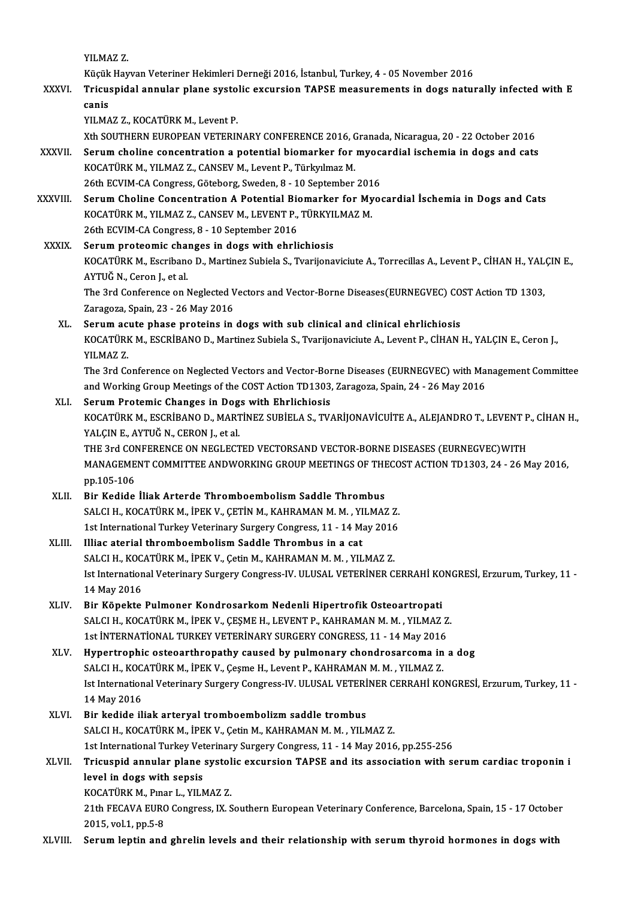YILMAZ Z.

YILMAZ Z.<br>Küçük Hayvan Veteriner Hekimleri Derneği 2016, İstanbul, Turkey, 4 - 05 November 2016<br>Tricuenidal annular plane eveteliş eveynejan TABSE messuremente in dess netu

YILMAZ Z.<br>Küçük Hayvan Veteriner Hekimleri Derneği 2016, İstanbul, Turkey, 4 - 05 November 2016<br>XXXVI. Tricuspidal annular plane systolic excursion TAPSE measurements in dogs naturally infected with E Küçük<br><mark>Tricu:</mark><br>canis<br>vu MA Tricuspidal annular plane systo<br>canis<br>YILMAZ Z., KOCATÜRK M., Levent P.<br>Yth SOUTHEPN EUROPEAN VETERIN

canis<br>XILMAZ Z., KOCATÜRK M., Levent P.<br>Xth SOUTHERN EUROPEAN VETERINARY CONFERENCE 2016, Granada, Nicaragua, 20 - 22 October 2016

YILMAZ Z., KOCATÜRK M., Levent P.<br>Xth SOUTHERN EUROPEAN VETERINARY CONFERENCE 2016, Granada, Nicaragua, 20 - 22 October 2016<br>XXXVII. Serum choline concentration a potential biomarker for myocardial ischemia in dogs and cat Xth SOUTHERN EUROPEAN VETERINARY CONFERENCE 2016, C<br>Serum choline concentration a potential biomarker for<br>KOCATÜRK M., YILMAZ Z., CANSEV M., Levent P., Türkyılmaz M.<br>26th ECVIM CA Congress Cöteberg Sueden 8, 10 September Serum choline concentration a potential biomarker for myoc:<br>KOCATÜRK M., YILMAZ Z., CANSEV M., Levent P., Türkyılmaz M.<br>26th ECVIM-CA Congress, Göteborg, Sweden, 8 - 10 September 2016<br>Serum Choline Consentration A Petentia

- KOCATÜRK M., YILMAZ Z., CANSEV M., Levent P., Türkyılmaz M.<br>26th ECVIM-CA Congress, Göteborg, Sweden, 8 10 September 2016<br>XXXVIII. Serum Choline Concentration A Potential Biomarker for Myocardial İschemia in Dogs and Cat 26th ECVIM-CA Congress, Göteborg, Sweden, 8 - 10 September 201<br>Serum Choline Concentration A Potential Biomarker for My<br>KOCATÜRK M., YILMAZ Z., CANSEV M., LEVENT P., TÜRKYILMAZ M.<br>26th ECVIM CA Congress, 8 - 10 September 2 Serum Choline Concentration A Potential Biology<br>26th ECVIM-CA Congress, 8 - 10 September 2016<br>26th ECVIM-CA Congress, 8 - 10 September 2016 KOCATÜRK M., YILMAZ Z., CANSEV M., LEVENT P., TÜRKYILMAZ M.<br>26th ECVIM-CA Congress, 8 - 10 September 2016<br>XXXIX. Serum proteomic changes in dogs with ehrlichiosis
- 26th ECVIM-CA Congress, 8 10 September 2016<br>Serum proteomic changes in dogs with ehrlichiosis<br>KOCATÜRK M., Escribano D., Martinez Subiela S., Tvarijonaviciute A., Torrecillas A., Levent P., CİHAN H., YALÇIN E.,<br>AYTUĞ N., Serum proteomic chai<br>KOCATÜRK M., Escribano<br>AYTUĞ N., Ceron J., et al.<br>The <sup>2</sup>rd Conference on <sup>1</sup> KOCATÜRK M., Escribano D., Martinez Subiela S., Tvarijonaviciute A., Torrecillas A., Levent P., CİHAN H., YAL<br>AYTUĞ N., Ceron J., et al.<br>The 3rd Conference on Neglected Vectors and Vector-Borne Diseases(EURNEGVEC) COST Act AYTUĞ N., Ceron J., et al.<br>The 3rd Conference on Neglected Vectors and Vector-Borne Diseases(EURNEGVEC) COST Action TD 1303,<br>Zaragoza, Spain, 23 - 26 May 2016

XL. Serumacute phase proteins in dogs with sub clinical and clinical ehrlichiosis Zaragoza, Spain, 23 - 26 May 2016<br>Serum acute phase proteins in dogs with sub clinical and clinical ehrlichiosis<br>KOCATÜRK M., ESCRİBANO D., Martinez Subiela S., Tvarijonaviciute A., Levent P., CİHAN H., YALÇIN E., Ceron J. Serum ac<br>KOCATÜRI<br>YILMAZ Z.<br>The <sup>2nd Co</sup> KOCATÜRK M., ESCRİBANO D., Martinez Subiela S., Tvarijonaviciute A., Levent P., CİHAN H., YALÇIN E., Ceron J.,<br>YILMAZ Z.<br>The 3rd Conference on Neglected Vectors and Vector-Borne Diseases (EURNEGVEC) with Management Committ

YILMAZ Z.<br>The 3rd Conference on Neglected Vectors and Vector-Borne Diseases (EURNEGVEC) with Management Committee<br>and Working Group Meetings of the COST Action TD1303, Zaragoza, Spain, 24 - 26 May 2016 The 3rd Conference on Neglected Vectors and Vector-Bor<br>and Working Group Meetings of the COST Action TD1303,<br>XLI. Serum Protemic Changes in Dogs with Ehrlichiosis<br>VOCATÜPV M. ESCRIPANO D. MARTINEZ SURIELA S. TV.

and Working Group Meetings of the COST Action TD1303, Zaragoza, Spain, 24 - 26 May 2016<br>Serum Protemic Changes in Dogs with Ehrlichiosis<br>KOCATÜRK M., ESCRİBANO D., MARTİNEZ SUBİELA S., TVARİJONAVİCUİTE A., ALEJANDRO T., LE Serum Protemic Changes in Dog<br>KOCATÜRK M., ESCRİBANO D., MART<br>YALÇIN E., AYTUĞ N., CERON J., et al.<br>THE 2rd CONEEPENCE ON NECLECT KOCATÜRK M., ESCRİBANO D., MARTİNEZ SUBİELA S., TVARİJONAVİCUİTE A., ALEJANDRO T., LEVENT P<br>YALÇIN E., AYTUĞ N., CERON J., et al.<br>THE 3rd CONFERENCE ON NEGLECTED VECTORSAND VECTOR-BORNE DISEASES (EURNEGVEC)WITH<br>MANACEMENT

YALÇIN E., AYTUĞ N., CERON J., et al.<br>THE 3rd CONFERENCE ON NEGLECTED VECTORSAND VECTOR-BORNE DISEASES (EURNEGVEC)WITH<br>MANAGEMENT COMMITTEE ANDWORKING GROUP MEETINGS OF THECOST ACTION TD1303, 24 - 26 May 2016,<br>nn 105 106 THE 3rd COM<br>MANAGEME<br>pp.105-106<br>Pir Kodide MANAGEMENT COMMITTEE ANDWORKING GROUP MEETINGS OF THE<br>pp.105-106<br>XLII. Bir Kedide İliak Arterde Thromboembolism Saddle Thrombus<br>SALCH YOCATÜRY M İREY V. CETİN M YAHRAMAN M M YUMAĞ

- pp.105-106<br>Bir Kedide İliak Arterde Thromboembolism Saddle Thrombus<br>SALCI H., KOCATÜRK M., İPEK V., ÇETİN M., KAHRAMAN M. M. , YILMAZ Z.<br>1st International Turkey Veterinew: Surgery Congrees 11 14 Mey 2016 Bir Kedide İliak Arterde Thromboembolism Saddle Thrombus<br>SALCI H., KOCATÜRK M., İPEK V., ÇETİN M., KAHRAMAN M. M. , YILMAZ Z.<br>1st International Turkey Veterinary Surgery Congress, 11 - 14 May 2016<br>Illiac atarial thromboemb SALCI H., KOCATÜRK M., İPEK V., ÇETİN M., KAHRAMAN M. M. , YILMAZ Z.<br>1st International Turkey Veterinary Surgery Congress, 11 - 14 May 2016<br>XLIII. Illiac aterial thromboembolism Saddle Thrombus in a cat
- SALCI H., KOCATÜRK M., İPEK V., Çetin M., KAHRAMAN M. M., YILMAZ Z. Illiac aterial thromboembolism Saddle Thrombus in a cat<br>SALCI H., KOCATÜRK M., İPEK V., Çetin M., KAHRAMAN M. M. , YILMAZ Z.<br>Ist International Veterinary Surgery Congress-IV. ULUSAL VETERİNER CERRAHİ KONGRESİ, Erzurum, Tur SALCI H., KOC.<br>Ist Internation<br>14 May 2016<br>Pin Käneltte Ist International Veterinary Surgery Congress-IV. ULUSAL VETERINER CERRAHI KO<br>14 May 2016<br>XLIV. Bir Köpekte Pulmoner Kondrosarkom Nedenli Hipertrofik Osteoartropati<br>SALCLH *VOCATURY M* JREV V. CESME H J EVENT R VAHRAMAN M
- 14 May 2016<br>Bir Köpekte Pulmoner Kondrosarkom Nedenli Hipertrofik Osteoartropati<br>SALCI H., KOCATÜRK M., İPEK V., ÇEŞME H., LEVENT P., KAHRAMAN M. M. , YILMAZ Z. Bir Köpekte Pulmoner Kondrosarkom Nedenli Hipertrofik Osteoartropati<br>SALCI H., KOCATÜRK M., İPEK V., ÇEŞME H., LEVENT P., KAHRAMAN M. M. , YILMAZ Z<br>1st İNTERNATİONAL TURKEY VETERİNARY SURGERY CONGRESS, 11 - 14 May 2016<br>Hun SALCI H., KOCATÜRK M., İPEK V., ÇEŞME H., LEVENT P., KAHRAMAN M. M., YILMAZ Z.<br>1st İNTERNATİONAL TURKEY VETERİNARY SURGERY CONGRESS, 11 - 14 May 2016<br>XLV. Hypertrophic osteoarthropathy caused by pulmonary chondrosarcoma in

1st İNTERNATİONAL TURKEY VETERİNARY SURGERY CONGRESS, 11 - 14 May 2016<br>Hypertrophic osteoarthropathy caused by pulmonary chondrosarcoma in<br>SALCI H., KOCATÜRK M., İPEK V., Çeşme H., Levent P., KAHRAMAN M. M. , YILMAZ Z.<br>Ist Hypertrophic osteoarthropathy caused by pulmonary chondrosarcoma in a dog<br>SALCI H., KOCATÜRK M., İPEK V., Çeşme H., Levent P., KAHRAMAN M. M. , YILMAZ Z.<br>Ist International Veterinary Surgery Congress-IV. ULUSAL VETERİNER C SALCI H., KOC.<br>Ist Internation<br>14 May 2016<br>Pir kodida il Ist International Veterinary Surgery Congress-IV. ULUSAL VETERI<br>14 May 2016<br>XLVI. Bir kedide iliak arteryal tromboembolizm saddle trombus<br>SALCLH KOCATÜRK M İREK V. Cetin M KAHRAMAN M M YUN

14 May 2016<br>Bir kedide iliak arteryal tromboembolizm saddle trombus<br>SALCI H., KOCATÜRK M., İPEK V., Çetin M., KAHRAMAN M. M. , YILMAZ Z. 1st InternationalTurkeyVeterinary SurgeryCongress,11 -14May2016,pp.255-256

### SALCI H., KOCATÜRK M., İPEK V., Çetin M., KAHRAMAN M. M. , YILMAZ Z.<br>1st International Turkey Veterinary Surgery Congress, 11 - 14 May 2016, pp.255-256<br>XLVII. Tricuspid annular plane systolic excursion TAPSE and its as level in dogs with sepsis Tricuspid annular plane systol<br>level in dogs with sepsis<br>KOCATÜRK M., Pınar L., YILMAZ Z.<br>21th EECAVA EURO CORTESSE IV S KOCATÜRK M., Pınar L., YILMAZ Z.

21th FECAVA EURO Congress, IX. Southern European Veterinary Conference, Barcelona, Spain, 15 - 17 October 2015, vol.1, pp.5-8

XLVIII. Serum leptin and ghrelin levels and their relationship with serum thyroid hormones in dogs with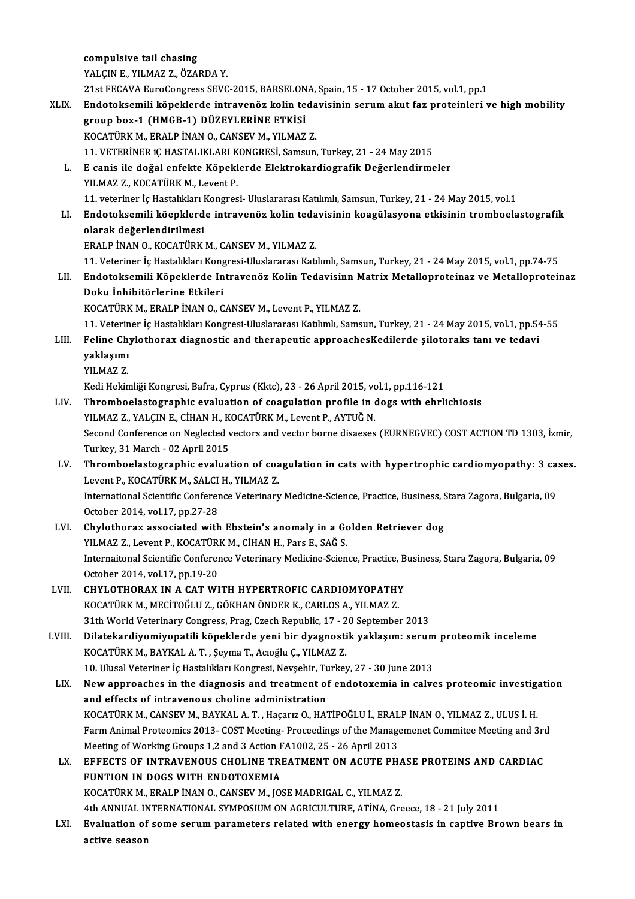compulsive tail chasing YALÇINE.,YILMAZ Z.,ÖZARDAY. 21stFECAVAEuroCongress SEVC-2015,BARSELONA,Spain,15 -17October 2015,vol.1,pp.1 YALÇIN E., YILMAZ Z., ÖZARDA Y.<br>21st FECAVA EuroCongress SEVC-2015, BARSELONA, Spain, 15 - 17 October 2015, vol.1, pp.1<br>XLIX. Endotoksemili köpeklerde intravenöz kolin tedavisinin serum akut faz proteinleri ve high mob 21st FECAVA EuroCongress SEVC-2015, BARSELON<br>Endotoksemili köpeklerde intravenöz kolin te<br>group box-1 (HMGB-1) DÜZEYLERİNE ETKİSİ<br>KOCATÜPK M. ERALBİNAN O. CANSEV M. YU MAZ group box-1 (HMGB-1) DÜZEYLERİNE ETKİSİ<br>KOCATÜRK M., ERALP İNAN O., CANSEV M., YILMAZ Z. group box-1 (HMGB-1) DÜZEYLERİNE ETKİSİ<br>KOCATÜRK M., ERALP İNAN O., CANSEV M., YILMAZ Z.<br>11. VETERİNER iÇ HASTALIKLARI KONGRESİ, Samsun, Turkey, 21 - 24 May 2015<br>E.canis ile dağal anfakta Könaklarda Elektrokardiagrafik Değ L. E canis ile doğal enfekte Köpeklerde Elektrokardiografik Değerlendirmeler 11. VETERİNER iÇ HASTALIKLARI K<br>E canis ile doğal enfekte Köpekl<br>YILMAZ Z., KOCATÜRK M., Levent P.<br>11. veteriner iş Hastalıkları Kongres 11. veteriner İç Hastalıkları Kongresi- Uluslararası Katılımlı, Samsun, Turkey, 21 - 24 May 2015, vol.1 YILMAZ Z., KOCATÜRK M., Levent P.<br>11. veteriner İç Hastalıkları Kongresi- Uluslararası Katılımlı, Samsun, Turkey, 21 - 24 May 2015, vol.1<br>1. Endotoksemili köepklerde intravenöz kolin tedavisinin koagülasyona etkisinin trom olarak değerlendirilmesi<br>ERALP İNAN O., KOCATÜRK M., CANSEV M., YILMAZ Z. Endotoksemili köepklerde intravenöz kolin teda<br>olarak değerlendirilmesi<br>ERALP İNAN O., KOCATÜRK M., CANSEV M., YILMAZ Z.<br>11. Veteriner is Hestalıları Konsresi Uluslararesı Katı olarak değerlendirilmesi<br>ERALP İNAN O., KOCATÜRK M., CANSEV M., YILMAZ Z.<br>11. Veteriner İç Hastalıkları Kongresi-Uluslararası Katılımlı, Samsun, Turkey, 21 - 24 May 2015, vol.1, pp.74-75<br>Endeteksemili Köneklerde Intrevenöz ERALP İNAN 0., KOCATÜRK M., CANSEV M., YILMAZ Z.<br>11. Veteriner İç Hastalıkları Kongresi-Uluslararası Katılımlı, Samsun, Turkey, 21 - 24 May 2015, vol.1, pp.74-75<br>11. Endotoksemili Köpeklerde Intravenöz Kolin Tedavisinn 11. Veteriner İç Hastalıkları Kong<br>Endotoksemili Köpeklerde In<br>Doku İnhibitörlerine Etkileri<br>KOCATÜPK M. ERALP İNAN O. G Endotoksemili Köpeklerde Intravenöz Kolin Tedavisinn M<br>Doku İnhibitörlerine Etkileri<br>KOCATÜRK M., ERALP İNAN O., CANSEV M., Levent P., YILMAZ Z.<br>11 Veteriner is Hestalilları Konspesi Uluslaransa Katılımlı Same Doku İnhibitörlerine Etkileri<br>KOCATÜRK M., ERALP İNAN O., CANSEV M., Levent P., YILMAZ Z.<br>11. Veteriner İç Hastalıkları Kongresi-Uluslararası Katılımlı, Samsun, Turkey, 21 - 24 May 2015, vol.1, pp.54-55 KOCATÜRK M., ERALP İNAN O., CANSEV M., Levent P., YILMAZ Z.<br>11. Veteriner İç Hastalıkları Kongresi-Uluslararası Katılımlı, Samsun, Turkey, 21 - 24 May 2015, vol.1, pp.54<br>11. Feline Chylothorax diagnostic and therapeutic ap 11. Veterin<br>Feline Ch<sub>!</sub><br>yaklaşımı<br><sup>VII MA7 7</sup> Feline Ch<br>yaklaşımı<br>YILMAZ Z.<br>Kedi Hekin yaklaşımı<br>YILMAZ Z.<br>Kedi Hekimliği Kongresi, Bafra, Cyprus (Kktc), 23 - 26 April 2015, vol.1, pp.116-121 YILMAZ Z.<br>Kedi Hekimliği Kongresi, Bafra, Cyprus (Kktc), 23 - 26 April 2015, vol.1, pp.116-121<br>LIV. Thromboelastographic evaluation of coagulation profile in dogs with ehrlichiosis<br>VILMAZ Z. VALCIN E. CHAN H. KOCATÜRK Kedi Hekimliği Kongresi, Bafra, Cyprus (Kktc), 23 - 26 April 2015, vo<br>Thromboelastographic evaluation of coagulation profile in (YILMAZ Z., YALÇIN E., CİHAN H., KOCATÜRK M., Levent P., AYTUĞ N.<br>Sesend Conference on Neglest Thromboelastographic evaluation of coagulation profile in dogs with ehrlichiosis<br>YILMAZ Z., YALÇIN E., CİHAN H., KOCATÜRK M., Levent P., AYTUĞ N.<br>Second Conference on Neglected vectors and vector borne disaeses (EURNEGVEC) YILMAZ Z., YALÇIN E., CİHAN H., K.<br>Second Conference on Neglected v.<br>Turkey, 31 March - 02 April 2015<br>Thromboelestographic evalusi Second Conference on Neglected vectors and vector borne disaeses (EURNEGVEC) COST ACTION TD 1303, İzmir,<br>Turkey, 31 March - 02 April 2015<br>LV. Thromboelastographic evaluation of coagulation in cats with hypertrophic cardiom Turkey, 31 March - 02 April 2015<br><mark>Thromboelastographic evaluation of coa</mark><br>Levent P., KOCATÜRK M., SALCI H., YILMAZ Z.<br>International Scientific Conference Veterinery Thromboelastographic evaluation of coagulation in cats with hypertrophic cardiomyopathy: 3 ca<br>Levent P., KOCATÜRK M., SALCI H., YILMAZ Z.<br>International Scientific Conference Veterinary Medicine-Science, Practice, Business, Levent P., KOCATÜRK M., SALCI<br>International Scientific Conferer<br>October 2014, vol.17, pp.27-28 International Scientific Conference Veterinary Medicine-Science, Practice, Business, S<br>October 2014, vol.17, pp.27-28<br>LVI. Chylothorax associated with Ebstein's anomaly in a Golden Retriever dog<br>VII MAZZ, Levent B, VOCATUR October 2014, vol.17, pp.27-28<br>Chylothorax associated with Ebstein's anomaly in a Go<br>YILMAZ Z., Levent P., KOCATÜRK M., CİHAN H., Pars E., SAĞ S.<br>International Scientific Conference Veterinary Medicine Scien Chylothorax associated with Ebstein's anomaly in a Golden Retriever dog<br>
YILMAZ Z., Levent P., KOCATÜRK M., CİHAN H., Pars E., SAĞ S.<br>
Internaitonal Scientific Conference Veterinary Medicine-Science, Practice, Business, St YILMAZ Z., Levent P., KOCATÜR<br>Internaitonal Scientific Conferer<br>October 2014, vol.17, pp.19-20<br>CHVLOTHOBAY IN A CAT WI Internaitonal Scientific Conference Veterinary Medicine-Science, Practice, B<br>October 2014, vol.17, pp.19-20<br>LVII. CHYLOTHORAX IN A CAT WITH HYPERTROFIC CARDIOMYOPATHY<br>VOCATUREM MECITOČELEZ CÔVHANÔNDER K CARLOS A VILMAZ Z October 2014, vol.17, pp.19-20<br>CHYLOTHORAX IN A CAT WITH HYPERTROFIC CARDIOMYOPATH)<br>KOCATÜRK M., MECİTOĞLU Z., GÖKHAN ÖNDER K., CARLOS A., YILMAZ Z.<br>21th Warld Veterinary Cangress, Praz. Czech Banyblis, 17, -20 Santambal CHYLOTHORAX IN A CAT WITH HYPERTROFIC CARDIOMYOPATHY<br>KOCATÜRK M., MECİTOĞLU Z., GÖKHAN ÖNDER K., CARLOS A., YILMAZ Z.<br>31th World Veterinary Congress, Prag, Czech Republic, 17 - 20 September 2013<br>Pilatekardiyamiyanatili kön KOCATÜRK M., MECİTOĞLU Z., GÖKHAN ÖNDER K., CARLOS A., YILMAZ Z.<br>31th World Veterinary Congress, Prag, Czech Republic, 17 - 20 September 2013<br>LVIII. Dilatekardiyomiyopatili köpeklerde yeni bir dyagnostik yaklaşım: seru 31th World Veterinary Congress, Prag, Czech Republic, 17 - 2<br>Dilatekardiyomiyopatili köpeklerde yeni bir dyagnosti<br>KOCATÜRK M., BAYKAL A.T. , Şeyma T., Acıoğlu Ç., YILMAZ Z.<br>10 Ulucal Veterinar İs Hastalıkları Kongresi Nav Dilatekardiyomiyopatili köpeklerde yeni bir dyagnostik yaklaşım: serum<br>KOCATÜRK M., BAYKAL A. T. , Şeyma T., Acıoğlu Ç., YILMAZ Z.<br>10. Ulusal Veteriner İç Hastalıkları Kongresi, Nevşehir, Turkey, 27 - 30 June 2013<br>New appr KOCATÜRK M., BAYKAL A. T. , Şeyma T., Acıoğlu Ç., YILMAZ Z.<br>10. Ulusal Veteriner İç Hastalıkları Kongresi, Nevşehir, Turkey, 27 - 30 June 2013<br>LIX. New approaches in the diagnosis and treatment of endotoxemia in calves pro 10. Ulusal Veteriner İç Hastalıkları Kongresi, Nevşehir, Tu<br>New approaches in the diagnosis and treatment of<br>and effects of intravenous choline administration<br>POCATÜREM, CANSEV M, PAVEAL A.T., Hasarız O. HA. New approaches in the diagnosis and treatment of endotoxemia in calves proteomic investige<br>and effects of intravenous choline administration<br>KOCATÜRK M., CANSEV M., BAYKAL A. T. , Haçarız O., HATİPOĞLU İ., ERALP İNAN O., Y and effects of intravenous choline administration<br>KOCATÜRK M., CANSEV M., BAYKAL A. T. , Haçarız O., HATİPOĞLU İ., ERALP İNAN O., YILMAZ Z., ULUS İ. H.<br>Farm Animal Proteomics 2013- COST Meeting- Proceedings of the Manageme KOCATÜRK M., CANSEV M., BAYKAL A. T. , Haçarız O., HATİPOĞLU İ., ERALP İNAN O., YILMAZ Z., ULUS İ. H.<br>Farm Animal Proteomics 2013- COST Meeting- Proceedings of the Managemenet Commitee Meeting and 3r<br>Meeting of Working Gro Farm Animal Proteomics 2013- COST Meeting- Proceedings of the Managemenet Commitee Meeting and 3rd<br>Meeting of Working Groups 1,2 and 3 Action FA1002, 25 - 26 April 2013<br>LX. EFFECTS OF INTRAVENOUS CHOLINE TREATMENT ON ACUTE FUNTION IN DOGS WITH ENDOTOXEMIA KOCATÜRKM.,ERALPİNANO.,CANSEVM., JOSEMADRIGAL C.,YILMAZ Z. 4thANNUAL INTERNATIONAL SYMPOSIUMONAGRICULTURE,ATİNA,Greece,18 -21 July2011 KOCATÜRK M., ERALP İNAN O., CANSEV M., JOSE MADRIGAL C., YILMAZ Z.<br>4th ANNUAL INTERNATIONAL SYMPOSIUM ON AGRICULTURE, ATİNA, Greece, 18 - 21 July 2011<br>LXI. Evaluation of some serum parameters related with energy homeos 4th ANNUAL IN<br><mark>Evaluation of</mark><br>active season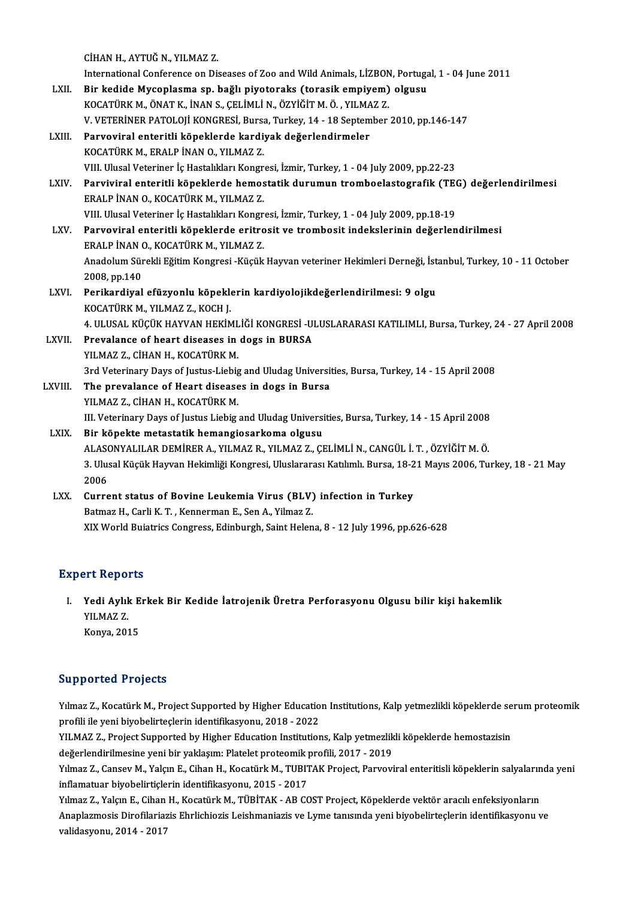|             | CİHAN H., AYTUĞ N., YILMAZ Z.                                                                                   |
|-------------|-----------------------------------------------------------------------------------------------------------------|
|             | International Conference on Diseases of Zoo and Wild Animals, LİZBON, Portugal, 1 - 04 June 2011                |
| LXII.       | Bir kedide Mycoplasma sp. bağlı piyotoraks (torasik empiyem) olgusu                                             |
|             | KOCATÜRK M., ÖNAT K., İNAN S., ÇELİMLİ N., ÖZYİĞİT M. Ö., YILMAZ Z.                                             |
|             | V. VETERINER PATOLOJI KONGRESI, Bursa, Turkey, 14 - 18 September 2010, pp.146-147                               |
| LXIII.      | Parvoviral enteritli köpeklerde kardiyak değerlendirmeler                                                       |
|             | KOCATÜRK M., ERALP İNAN O., YILMAZ Z.                                                                           |
|             | VIII. Ulusal Veteriner İç Hastalıkları Kongresi, İzmir, Turkey, 1 - 04 July 2009, pp.22-23                      |
| LXIV.       | Parviviral enteritli köpeklerde hemostatik durumun tromboelastografik (TEG) değerlendirilmesi                   |
|             | ERALP İNAN O., KOCATÜRK M., YILMAZ Z.                                                                           |
|             | VIII. Ulusal Veteriner İç Hastalıkları Kongresi, İzmir, Turkey, 1 - 04 July 2009, pp.18-19                      |
| LXV.        | Parvoviral enteritli köpeklerde eritrosit ve trombosit indekslerinin değerlendirilmesi                          |
|             | ERALP İNAN O., KOCATÜRK M., YILMAZ Z.                                                                           |
|             | Anadolum Sürekli Eğitim Kongresi -Küçük Hayvan veteriner Hekimleri Derneği, İstanbul, Turkey, 10 - 11 October   |
|             | 2008, pp.140                                                                                                    |
| LXVI.       | Perikardiyal efüzyonlu köpeklerin kardiyolojikdeğerlendirilmesi: 9 olgu                                         |
|             | KOCATÜRK M., YILMAZ Z., KOCH J.                                                                                 |
|             | 4. ULUSAL KÜÇÜK HAYVAN HEKİMLİĞİ KONGRESİ -ULUSLARARASI KATILIMLI, Bursa, Turkey, 24 - 27 April 2008            |
| LXVII.      | Prevalance of heart diseases in dogs in BURSA                                                                   |
|             | YILMAZ Z., CİHAN H., KOCATÜRK M.                                                                                |
|             | 3rd Veterinary Days of Justus-Liebig and Uludag Universities, Bursa, Turkey, 14 - 15 April 2008                 |
| LXVIII.     | The prevalance of Heart diseases in dogs in Bursa                                                               |
|             | YILMAZ Z., CİHAN H., KOCATÜRK M.                                                                                |
|             | III. Veterinary Days of Justus Liebig and Uludag Universities, Bursa, Turkey, 14 - 15 April 2008                |
| <b>LXIX</b> | Bir köpekte metastatik hemangiosarkoma olgusu                                                                   |
|             | ALASONYALILAR DEMİRER A., YILMAZ R., YILMAZ Z., ÇELİMLİ N., CANGÜL İ. T. , ÖZYİĞİT M. Ö.                        |
|             | 3. Ulusal Küçük Hayvan Hekimliği Kongresi, Uluslararası Katılımlı. Bursa, 18-21 Mayıs 2006, Turkey, 18 - 21 May |
|             | 2006                                                                                                            |
| LXX.        | Current status of Bovine Leukemia Virus (BLV) infection in Turkey                                               |
|             | Batmaz H., Carli K. T., Kennerman E., Sen A., Yilmaz Z.                                                         |
|             | XIX World Buiatrics Congress, Edinburgh, Saint Helena, 8 - 12 July 1996, pp.626-628                             |

### **Expert Reports**

Xpert Reports<br>I. Yedi Aylık Erkek Bir Kedide İatrojenik Üretra Perforasyonu Olgusu bilir kişi hakemlik<br>XII MAZ Z YE KEPER<br>Yedi Aylıl<br>YILMAZ Z. Yedi Aylık E<br>YILMAZ Z.<br>Konya, 2015

# Konya, 2015<br>Supported Projects

Supported Projects<br>Yılmaz Z., Kocatürk M., Project Supported by Higher Education Institutions, Kalp yetmezlikli köpeklerde serum proteomik<br>Prefili ile veni bivebelirteclerin identifikasyonu. 2018–2022 profili ile yenibiyoorda<br>1999-Yulmaz Z., Kocatürk M., Project Supported by Higher Educatio<br>1998-Yul MAZ Z., Project Supported by Higher Education Institution<br>1998-Yul MAZ Z., Project Supported by Higher Education Instituti Yılmaz Z., Kocatürk M., Project Supported by Higher Education Institutions, Kalp yetmezlikli köpeklerde se<br>profili ile yeni biyobelirteçlerin identifikasyonu, 2018 - 2022<br>YILMAZ Z., Project Supported by Higher Education In

profili ile yeni biyobelirteçlerin identifikasyonu, 2018 - 2022<br>YILMAZ Z., Project Supported by Higher Education Institutions, Kalp yetmezlik<br>değerlendirilmesine yeni bir yaklaşım: Platelet proteomik profili, 2017 - 2019<br>Y

YILMAZ Z., Project Supported by Higher Education Institutions, Kalp yetmezlikli köpeklerde hemostazisin<br>değerlendirilmesine yeni bir yaklaşım: Platelet proteomik profili, 2017 - 2019<br>Yılmaz Z., Cansev M., Yalçın E., Cihan değerlendirilmesine yeni bir yaklaşım: Platelet proteomik p<br>1987 - Yılmaz Z., Cansev M., Yalçın E., Cihan H., Kocatürk M., TUBI<br>1987 - Talqın E. Cihan H. Kosatürk M. TüpitAK., AB CO Yılmaz Z., Cansev M., Yalçın E., Cihan H., Kocatürk M., TUBITAK Project, Parvoviral enteritisli köpeklerin salyaların<br>inflamatuar biyobelirtiçlerin identifikasyonu, 2015 - 2017<br>Yılmaz Z., Yalçın E., Cihan H., Kocatürk M.,

inflamatuar biyobelirtiçlerin identifikasyonu, 2015 - 2017<br>Yılmaz Z., Yalçın E., Cihan H., Kocatürk M., TÜBİTAK - AB COST Project, Köpeklerde vektör aracılı enfeksiyonların<br>Anaplazmosis Dirofilariazis Ehrlichiozis Leishman Yılmaz Z., Yalçın E., Cihan<br>Anaplazmosis Dirofilariaz<br>validasyonu, 2014 - 2017